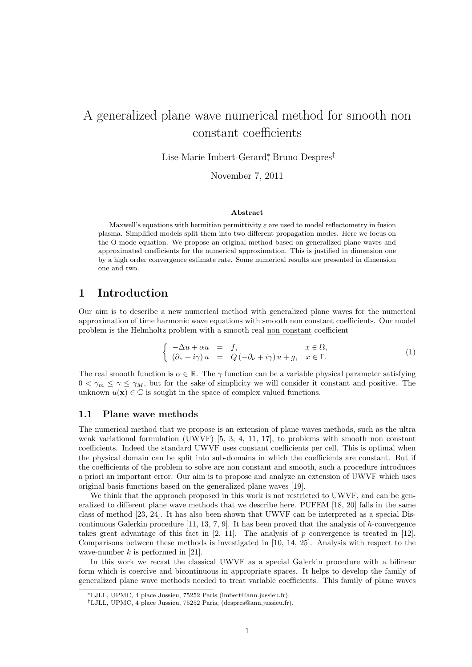# A generalized plane wave numerical method for smooth non constant coefficients

Lise-Marie Imbert-Gerard<sup>∗</sup> , Bruno Despres†

November 7, 2011

#### Abstract

Maxwell's equations with hermitian permittivity  $\varepsilon$  are used to model reflectometry in fusion plasma. Simplified models split them into two different propagation modes. Here we focus on the O-mode equation. We propose an original method based on generalized plane waves and approximated coefficients for the numerical approximation. This is justified in dimension one by a high order convergence estimate rate. Some numerical results are presented in dimension one and two.

# 1 Introduction

Our aim is to describe a new numerical method with generalized plane waves for the numerical approximation of time harmonic wave equations with smooth non constant coefficients. Our model problem is the Helmholtz problem with a smooth real non constant coefficient

$$
\begin{cases}\n-\Delta u + \alpha u = f, & x \in \Omega, \\
(\partial_{\nu} + i\gamma) u = Q(-\partial_{\nu} + i\gamma)u + g, & x \in \Gamma.\n\end{cases}
$$
\n(1)

The real smooth function is  $\alpha \in \mathbb{R}$ . The  $\gamma$  function can be a variable physical parameter satisfying  $0 < \gamma_m \leq \gamma \leq \gamma_M$ , but for the sake of simplicity we will consider it constant and positive. The unknown  $u(\mathbf{x}) \in \mathbb{C}$  is sought in the space of complex valued functions.

#### 1.1 Plane wave methods

The numerical method that we propose is an extension of plane waves methods, such as the ultra weak variational formulation (UWVF) [5, 3, 4, 11, 17], to problems with smooth non constant coefficients. Indeed the standard UWVF uses constant coefficients per cell. This is optimal when the physical domain can be split into sub-domains in which the coefficients are constant. But if the coefficients of the problem to solve are non constant and smooth, such a procedure introduces a priori an important error. Our aim is to propose and analyze an extension of UWVF which uses original basis functions based on the generalized plane waves [19].

We think that the approach proposed in this work is not restricted to UWVF, and can be generalized to different plane wave methods that we describe here. PUFEM [18, 20] falls in the same class of method [23, 24]. It has also been shown that UWVF can be interpreted as a special Discontinuous Galerkin procedure  $[11, 13, 7, 9]$ . It has been proved that the analysis of h-convergence takes great advantage of this fact in  $[2, 11]$ . The analysis of p convergence is treated in  $[12]$ . Comparisons between these methods is investigated in [10, 14, 25]. Analysis with respect to the wave-number  $k$  is performed in [21].

In this work we recast the classical UWVF as a special Galerkin procedure with a bilinear form which is coercive and bicontinuous in appropriate spaces. It helps to develop the family of generalized plane wave methods needed to treat variable coefficients. This family of plane waves

<sup>∗</sup>LJLL, UPMC, 4 place Jussieu, 75252 Paris (imbert@ann.jussieu.fr).

<sup>†</sup>LJLL, UPMC, 4 place Jussieu, 75252 Paris, (despres@ann.jussieu.fr).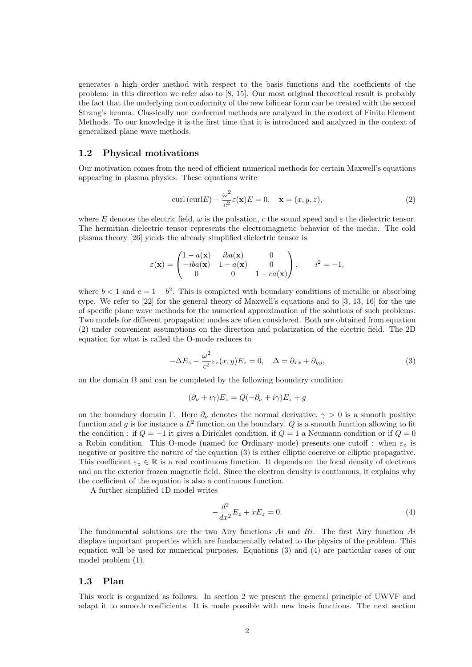generates a high order method with respect to the basis functions and the coefficients of the problem: in this direction we refer also to [8, 15]. Our most original theoretical result is probably the fact that the underlying non conformity of the new bilinear form can be treated with the second Strang's lemma. Classically non conformal methods are analyzed in the context of Finite Element Methods. To our knowledge it is the first time that it is introduced and analyzed in the context of generalized plane wave methods.

#### 1.2 Physical motivations

Our motivation comes from the need of efficient numerical methods for certain Maxwell's equations appearing in plasma physics. These equations write

$$
\operatorname{curl}\left(\operatorname{curl}E\right) - \frac{\omega^2}{c^2}\varepsilon(\mathbf{x})E = 0, \quad \mathbf{x} = (x, y, z),\tag{2}
$$

where E denotes the electric field,  $\omega$  is the pulsation, c the sound speed and  $\varepsilon$  the dielectric tensor. The hermitian dielectric tensor represents the electromagnetic behavior of the media. The cold plasma theory [26] yields the already simplified dielectric tensor is

$$
\varepsilon(\mathbf{x}) = \begin{pmatrix} 1 - a(\mathbf{x}) & iba(\mathbf{x}) & 0 \\ -iba(\mathbf{x}) & 1 - a(\mathbf{x}) & 0 \\ 0 & 0 & 1 - ca(\mathbf{x}) \end{pmatrix}, \qquad i^2 = -1,
$$

where  $b < 1$  and  $c = 1 - b^2$ . This is completed with boundary conditions of metallic or absorbing type. We refer to [22] for the general theory of Maxwell's equations and to [3, 13, 16] for the use of specific plane wave methods for the numerical approximation of the solutions of such problems. Two models for different propagation modes are often considered. Both are obtained from equation (2) under convenient assumptions on the direction and polarization of the electric field. The 2D equation for what is called the O-mode reduces to

$$
-\Delta E_z - \frac{\omega^2}{c^2} \varepsilon_z(x, y) E_z = 0, \quad \Delta = \partial_{xx} + \partial_{yy}, \tag{3}
$$

on the domain  $\Omega$  and can be completed by the following boundary condition

$$
(\partial_{\nu} + i\gamma)E_z = Q(-\partial_{\nu} + i\gamma)E_z + g
$$

on the boundary domain Γ. Here  $\partial_{\nu}$  denotes the normal derivative,  $\gamma > 0$  is a smooth positive function and g is for instance a  $L^2$  function on the boundary. Q is a smooth function allowing to fit the condition : if  $Q = -1$  it gives a Dirichlet condition, if  $Q = 1$  a Neumann condition or if  $Q = 0$ a Robin condition. This O-mode (named for Ordinary mode) presents one cutoff : when  $\varepsilon_z$  is negative or positive the nature of the equation (3) is either elliptic coercive or elliptic propagative. This coefficient  $\varepsilon_z \in \mathbb{R}$  is a real continuous function. It depends on the local density of electrons and on the exterior frozen magnetic field. Since the electron density is continuous, it explains why the coefficient of the equation is also a continuous function.

A further simplified 1D model writes

$$
-\frac{d^2}{dx^2}E_z + xE_z = 0.
$$
\n(4)

The fundamental solutions are the two Airy functions  $Ai$  and  $Bi$ . The first Airy function  $Ai$ displays important properties which are fundamentally related to the physics of the problem. This equation will be used for numerical purposes. Equations (3) and (4) are particular cases of our model problem (1).

#### 1.3 Plan

This work is organized as follows. In section 2 we present the general principle of UWVF and adapt it to smooth coefficients. It is made possible with new basis functions. The next section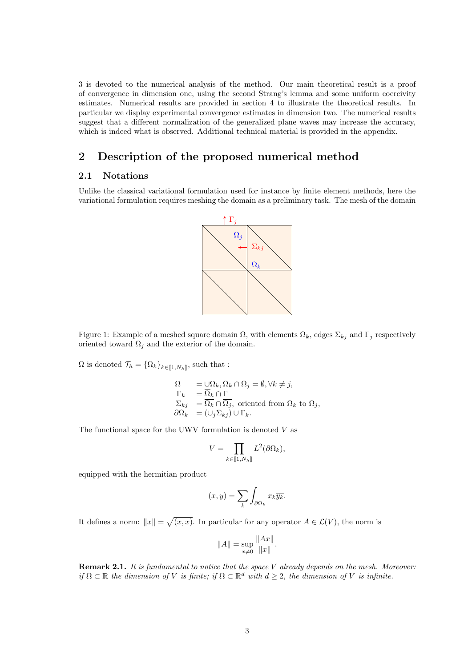3 is devoted to the numerical analysis of the method. Our main theoretical result is a proof of convergence in dimension one, using the second Strang's lemma and some uniform coercivity estimates. Numerical results are provided in section 4 to illustrate the theoretical results. In particular we display experimental convergence estimates in dimension two. The numerical results suggest that a different normalization of the generalized plane waves may increase the accuracy, which is indeed what is observed. Additional technical material is provided in the appendix.

# 2 Description of the proposed numerical method

# 2.1 Notations

Unlike the classical variational formulation used for instance by finite element methods, here the variational formulation requires meshing the domain as a preliminary task. The mesh of the domain



Figure 1: Example of a meshed square domain  $\Omega$ , with elements  $\Omega_k$ , edges  $\Sigma_{kj}$  and  $\Gamma_j$  respectively oriented toward  $\Omega_i$  and the exterior of the domain.

 $\Omega$  is denoted  $\mathcal{T}_h = {\Omega_k}_{k \in \llbracket 1, N_h \rrbracket}$ , such that :

$$
\begin{array}{ll} \overline{\Omega} & = \cup \overline{\Omega}_k, \Omega_k \cap \Omega_j = \emptyset, \forall k \neq j, \\ \Gamma_k & = \overline{\Omega}_k \cap \Gamma \\ \Sigma_{kj} & = \overline{\Omega}_k \cap \overline{\Omega}_j, \text{ oriented from } \Omega_k \text{ to } \Omega_j, \\ \partial \Omega_k & = (\cup_j \Sigma_{kj}) \cup \Gamma_k. \end{array}
$$

The functional space for the UWV formulation is denoted  $V$  as

$$
V = \prod_{k \in [\![1,N_h]\!]} L^2(\partial \Omega_k),
$$

equipped with the hermitian product

$$
(x,y) = \sum_{k} \int_{\partial \Omega_k} x_k \overline{y_k}.
$$

It defines a norm:  $||x|| = \sqrt{(x, x)}$ . In particular for any operator  $A \in \mathcal{L}(V)$ , the norm is

$$
||A|| = \sup_{x \neq 0} \frac{||Ax||}{||x||}.
$$

**Remark 2.1.** It is fundamental to notice that the space  $V$  already depends on the mesh. Moreover: if  $\Omega \subset \mathbb{R}$  the dimension of V is finite; if  $\Omega \subset \mathbb{R}^d$  with  $d \geq 2$ , the dimension of V is infinite.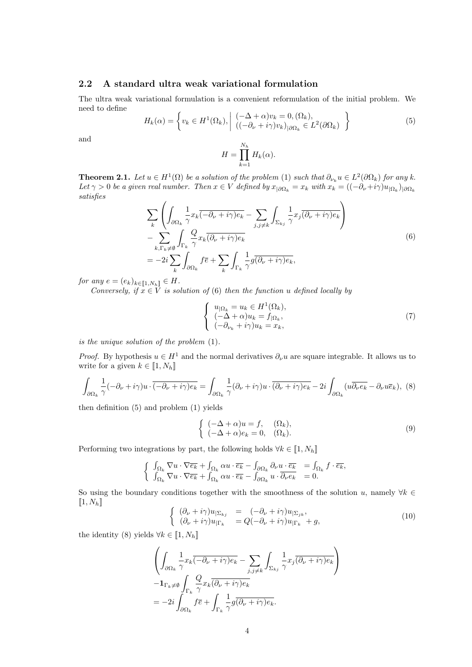## 2.2 A standard ultra weak variational formulation

The ultra weak variational formulation is a convenient reformulation of the initial problem. We need to define

$$
H_k(\alpha) = \left\{ v_k \in H^1(\Omega_k), \middle| \begin{array}{l} (-\Delta + \alpha)v_k = 0, (\Omega_k), \\ ((-\partial_\nu + i\gamma)v_k)_{|\partial\Omega_k} \in L^2(\partial\Omega_k) \end{array} \right\}
$$
(5)

and

$$
H = \prod_{k=1}^{N_h} H_k(\alpha).
$$

**Theorem 2.1.** Let  $u \in H^1(\Omega)$  be a solution of the problem (1) such that  $\partial_{\nu_k} u \in L^2(\partial \Omega_k)$  for any k. Let  $\gamma > 0$  be a given real number. Then  $x \in V$  defined by  $x_{|\partial\Omega_k} = x_k$  with  $x_k = ((-\partial_\nu + i\gamma)u_{|\Omega_k})_{|\partial\Omega_k}$ satisfies

$$
\sum_{k} \left( \int_{\partial \Omega_k} \frac{1}{\gamma} x_k \overline{(-\partial_\nu + i\gamma) e_k} - \sum_{j,j \neq k} \int_{\Sigma_{kj}} \frac{1}{\gamma} x_j \overline{(\partial_\nu + i\gamma) e_k} \right) \n- \sum_{k, \Gamma_k \neq \emptyset} \int_{\Gamma_k} \frac{Q}{\gamma} x_k \overline{(\partial_\nu + i\gamma) e_k} \n= -2i \sum_{k} \int_{\partial \Omega_k} f \overline{e} + \sum_{k} \int_{\Gamma_k} \frac{1}{\gamma} g \overline{(\partial_\nu + i\gamma) e_k},
$$
\n(6)

for any  $e = (e_k)_{k \in [\![ 1,N_h ]\!] } \in H$ .

Conversely, if  $x \in V$  is solution of (6) then the function u defined locally by

$$
\begin{cases}\n u_{|\Omega_k} = u_k \in H^1(\Omega_k), \\
 (-\Delta + \alpha)u_k = f_{|\Omega_k}, \\
 (-\partial_{\nu_k} + i\gamma)u_k = x_k,\n\end{cases}
$$
\n(7)

is the unique solution of the problem (1).

*Proof.* By hypothesis  $u \in H^1$  and the normal derivatives  $\partial_\nu u$  are square integrable. It allows us to write for a given  $k \in [\![1,N_h]\!]$ 

$$
\int_{\partial\Omega_k} \frac{1}{\gamma} (-\partial_\nu + i\gamma) u \cdot \overline{(-\partial_\nu + i\gamma) e_k} = \int_{\partial\Omega_k} \frac{1}{\gamma} (\partial_\nu + i\gamma) u \cdot \overline{(\partial_\nu + i\gamma) e_k} - 2i \int_{\partial\Omega_k} (u \overline{\partial_\nu e_k} - \partial_\nu u \overline{e_k}),
$$
 (8)

then definition (5) and problem (1) yields

$$
\begin{cases}\n(-\Delta + \alpha)u = f, & (\Omega_k), \\
(-\Delta + \alpha)e_k = 0, & (\Omega_k).\n\end{cases}
$$
\n(9)

Performing two integrations by part, the following holds  $\forall k \in [1, N_h]$ 

$$
\begin{cases} \n\int_{\Omega_k} \nabla u \cdot \nabla \overline{e_k} + \int_{\Omega_k} \alpha u \cdot \overline{e_k} - \int_{\partial \Omega_k} \partial_\nu u \cdot \overline{e_k} = \int_{\Omega_k} f \cdot \overline{e_k}, \\
\int_{\Omega_k} \nabla u \cdot \nabla \overline{e_k} + \int_{\Omega_k} \alpha u \cdot \overline{e_k} - \int_{\partial \Omega_k} u \cdot \overline{\partial_\nu e_k} = 0.\n\end{cases}
$$

So using the boundary conditions together with the smoothness of the solution u, namely  $\forall k \in$  $\llbracket 1, N_h \rrbracket$ 

$$
\begin{cases}\n(\partial_{\nu} + i\gamma)u_{|\Sigma_{kj}} &= (-\partial_{\nu} + i\gamma)u_{|\Sigma_{jk}}, \\
(\partial_{\nu} + i\gamma)u_{|\Gamma_k} &= Q(-\partial_{\nu} + i\gamma)u_{|\Gamma_k} + g,\n\end{cases}
$$
\n(10)

the identity (8) yields  $\forall k \in [1, N_h]$ 

$$
\left(\int_{\partial\Omega_k} \frac{1}{\gamma} x_k \overline{(-\partial_\nu + i\gamma)e_k} - \sum_{j,j\neq k} \int_{\Sigma_{kj}} \frac{1}{\gamma} x_j \overline{(\partial_\nu + i\gamma)e_k}\right) \n- \mathbf{1}_{\Gamma_k \neq \emptyset} \int_{\Gamma_k} \frac{Q}{\gamma} x_k \overline{(\partial_\nu + i\gamma)e_k} \n= -2i \int_{\partial\Omega_k} f \overline{e} + \int_{\Gamma_k} \frac{1}{\gamma} g \overline{(\partial_\nu + i\gamma)e_k}.
$$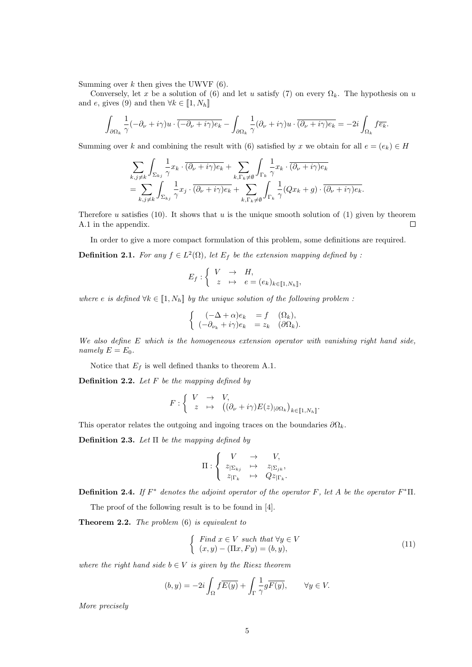Summing over  $k$  then gives the UWVF  $(6)$ .

Conversely, let x be a solution of (6) and let u satisfy (7) on every  $\Omega_k$ . The hypothesis on u and e, gives (9) and then  $\forall k \in [1, N_h]$ 

$$
\int_{\partial\Omega_k} \frac{1}{\gamma} (-\partial_\nu + i\gamma) u \cdot \overline{(-\partial_\nu + i\gamma) e_k} - \int_{\partial\Omega_k} \frac{1}{\gamma} (\partial_\nu + i\gamma) u \cdot \overline{(\partial_\nu + i\gamma) e_k} = -2i \int_{\Omega_k} f \overline{e_k}.
$$

Summing over k and combining the result with (6) satisfied by x we obtain for all  $e = (e_k) \in H$ 

$$
\sum_{k,j\neq k} \int_{\Sigma_{kj}} \frac{1}{\gamma} x_k \cdot \overline{(\partial_\nu + i\gamma)e_k} + \sum_{k,\Gamma_k \neq \emptyset} \int_{\Gamma_k} \frac{1}{\gamma} x_k \cdot \overline{(\partial_\nu + i\gamma)e_k} \n= \sum_{k,j\neq k} \int_{\Sigma_{kj}} \frac{1}{\gamma} x_j \cdot \overline{(\partial_\nu + i\gamma)e_k} + \sum_{k,\Gamma_k \neq \emptyset} \int_{\Gamma_k} \frac{1}{\gamma} (Qx_k + g) \cdot \overline{(\partial_\nu + i\gamma)e_k}.
$$

Therefore u satisfies  $(10)$ . It shows that u is the unique smooth solution of  $(1)$  given by theorem A.1 in the appendix.  $\Box$ 

In order to give a more compact formulation of this problem, some definitions are required. **Definition 2.1.** For any  $f \in L^2(\Omega)$ , let  $E_f$  be the extension mapping defined by :

$$
E_f: \left\{ \begin{array}{ccc} V & \to & H, \\ z & \mapsto & e = (e_k)_{k \in [\![ 1,N_h ]\!]} \end{array} \right.
$$

where e is defined  $\forall k \in [1, N_h]$  by the unique solution of the following problem :

$$
\begin{cases}\n(-\Delta + \alpha)e_k &= f(\Omega_k), \\
(-\partial_{\nu_k} + i\gamma)e_k &= z_k(\partial\Omega_k).\n\end{cases}
$$

We also define E which is the homogeneous extension operator with vanishing right hand side, namely  $E = E_0$ .

Notice that  $E_f$  is well defined thanks to theorem A.1.

**Definition 2.2.** Let  $F$  be the mapping defined by

$$
F: \left\{ \begin{array}{ccc} V & \to & V, \\ z & \mapsto & \big( (\partial_{\nu} + i\gamma) E(z)_{|\partial\Omega_k} \big)_{k \in [\![ 1,N_h]\!]}. \end{array} \right.
$$

This operator relates the outgoing and ingoing traces on the boundaries  $\partial\Omega_k$ .

Definition 2.3. Let  $\Pi$  be the mapping defined by

$$
\Pi: \left\{ \begin{array}{ccc} V & \to & V, \\ z_{|\Sigma_{kj}} & \mapsto & z_{|\Sigma_{jk}}, \\ z_{|\Gamma_k} & \mapsto & Qz_{|\Gamma_k}. \end{array} \right.
$$

**Definition 2.4.** If  $F^*$  denotes the adjoint operator of the operator F, let A be the operator  $F^*$ II.

The proof of the following result is to be found in [4].

Theorem 2.2. The problem  $(6)$  is equivalent to

$$
\begin{cases}\n\text{Find } x \in V \text{ such that } \forall y \in V \\
(x, y) - (\Pi x, F y) = (b, y),\n\end{cases} \tag{11}
$$

where the right hand side  $b \in V$  is given by the Riesz theorem

$$
(b, y) = -2i \int_{\Omega} f \overline{E(y)} + \int_{\Gamma} \frac{1}{\gamma} g \overline{F(y)}, \qquad \forall y \in V.
$$

More precisely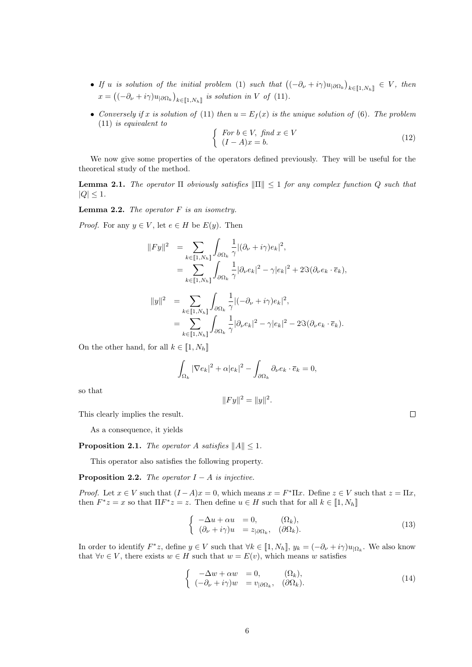- If u is solution of the initial problem (1) such that  $((-\partial_{\nu}+i\gamma)u_{|\partial\Omega_k})_{k\in\llbracket 1,N_h\rrbracket}\in V$ , then  $x = ((-\partial_{\nu} + i\gamma)u_{|\partial\Omega_k})_{k \in [\![1,N_h]\!]}$  is solution in V of (11).
- Conversely if x is solution of (11) then  $u = E_f(x)$  is the unique solution of (6). The problem (11) is equivalent to

$$
\begin{cases}\nFor \ b \in V, \ find \ x \in V \\
(I - A)x = b.\n\end{cases}
$$
\n(12)

We now give some properties of the operators defined previously. They will be useful for the theoretical study of the method.

**Lemma 2.1.** The operator  $\Pi$  obviously satisfies  $\|\Pi\| \leq 1$  for any complex function Q such that  $|Q| \leq 1$ .

**Lemma 2.2.** The operator  $F$  is an isometry.

*Proof.* For any  $y \in V$ , let  $e \in H$  be  $E(y)$ . Then

$$
||Fy||^2 = \sum_{k \in [1, N_h]} \int_{\partial \Omega_k} \frac{1}{\gamma} |(\partial_{\nu} + i\gamma) e_k|^2,
$$
  
= 
$$
\sum_{k \in [1, N_h]} \int_{\partial \Omega_k} \frac{1}{\gamma} |\partial_{\nu} e_k|^2 - \gamma |e_k|^2 + 2\Im(\partial_{\nu} e_k \cdot \overline{e}_k),
$$

$$
||y||^2 = \sum_{k \in [\![1,N_h]\!]}\int_{\partial\Omega_k} \frac{1}{\gamma} |(-\partial_\nu + i\gamma)e_k|^2,
$$
  
= 
$$
\sum_{k \in [\![1,N_h]\!]}\int_{\partial\Omega_k} \frac{1}{\gamma} |\partial_\nu e_k|^2 - \gamma |e_k|^2 - 2\Im(\partial_\nu e_k \cdot \overline{e}_k).
$$

On the other hand, for all  $k \in [1, N_h]$ 

$$
\int_{\Omega_k} |\nabla e_k|^2 + \alpha |e_k|^2 - \int_{\partial \Omega_k} \partial_\nu e_k \cdot \overline{e}_k = 0,
$$

 $||Fy||^2 = ||y||^2.$ 

so that

This clearly implies the result.

As a consequence, it yields

**Proposition 2.1.** The operator A satisfies  $||A|| \leq 1$ .

This operator also satisfies the following property.

**Proposition 2.2.** The operator  $I - A$  is injective.

*Proof.* Let  $x \in V$  such that  $(I - A)x = 0$ , which means  $x = F^* \Pi x$ . Define  $z \in V$  such that  $z = \Pi x$ , then  $F^*z = x$  so that  $\Pi F^*z = z$ . Then define  $u \in H$  such that for all  $k \in [1, N_h]$ 

$$
\begin{cases}\n-\Delta u + \alpha u = 0, & (\Omega_k), \\
(\partial_\nu + i\gamma)u = z_{|\partial\Omega_k}, & (\partial\Omega_k).\n\end{cases}
$$
\n(13)

In order to identify  $F^*z$ , define  $y \in V$  such that  $\forall k \in [1, N_h]$ ,  $y_k = (-\partial_\nu + i\gamma)u_{|\Omega_k}$ . We also know that  $\forall v \in V$ , there exists  $w \in H$  such that  $w = E(v)$ , which means w satisfies

$$
\begin{cases}\n-\Delta w + \alpha w &= 0, & (\Omega_k), \\
(-\partial_\nu + i\gamma)w &= v_{|\partial\Omega_k}, & (\partial\Omega_k).\n\end{cases}
$$
\n(14)

 $\Box$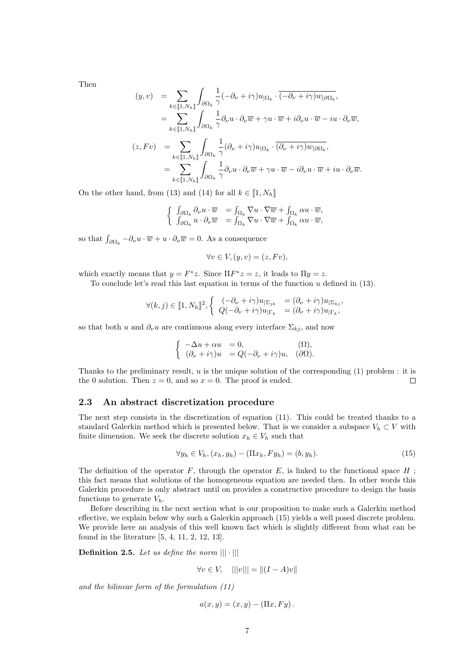Then

$$
(y, v) = \sum_{k \in [\![1, N_h]\!]} \int_{\partial \Omega_k} \frac{1}{\gamma} (-\partial_\nu + i\gamma) u_{|\Omega_k} \cdot \overline{(-\partial_\nu + i\gamma) w_{|\partial \Omega_k}},
$$
  

$$
= \sum_{k \in [\![1, N_h]\!]} \int_{\partial \Omega_k} \frac{1}{\gamma} \partial_\nu u \cdot \partial_\nu \overline{w} + \gamma u \cdot \overline{w} + i \partial_\nu u \cdot \overline{w} - i u \cdot \partial_\nu \overline{w},
$$
  

$$
(z, Fv) = \sum_{k \in [\![1, N_h]\!]} \int_{\partial \Omega_k} \frac{1}{\gamma} (\partial_\nu + i\gamma) u_{|\Omega_k} \cdot \overline{(\partial_\nu + i\gamma) w_{|\partial \Omega_k}},
$$
  

$$
= \sum_{k \in [\![1, N_h]\!]} \int_{\partial \Omega_k} \frac{1}{\gamma} \partial_\nu u \cdot \partial_\nu \overline{w} + \gamma u \cdot \overline{w} - i \partial_\nu u \cdot \overline{w} + i u \cdot \partial_\nu \overline{w}.
$$

On the other hand, from (13) and (14) for all  $k \in [1, N_h]$ 

$$
\left\{ \begin{array}{ll} \int_{\partial\Omega_k}\partial_\nu u\cdot \overline{w} &=\int_{\Omega_k}\nabla u\cdot \nabla \overline{w}+\int_{\Omega_k}\alpha u\cdot \overline{w},\\ \int_{\partial\Omega_k}u\cdot \partial_\nu \overline{w} &=\int_{\Omega_k}\nabla u\cdot \nabla \overline{w}+\int_{\Omega_k}\alpha u\cdot \overline{w}, \end{array} \right.
$$

so that  $\int_{\partial\Omega_k} -\partial_\nu u \cdot \overline{w} + u \cdot \partial_\nu \overline{w} = 0$ . As a consequence

$$
\forall v \in V, (y, v) = (z, Fv),
$$

which exactly means that  $y = F^*z$ . Since  $\Pi F^*z = z$ , it leads to  $\Pi y = z$ .

To conclude let's read this last equation in terms of the function  $u$  defined in (13).

$$
\forall (k,j) \in [\![1,N_h]\!]^2, \left\{ \begin{array}{ll} (-\partial_{\nu} + i\gamma)u_{|\Sigma_{jk}} & = (\partial_{\nu} + i\gamma)u_{|\Sigma_{kj}}, \\ Q(-\partial_{\nu} + i\gamma)u_{|\Gamma_k} & = (\partial_{\nu} + i\gamma)u_{|\Gamma_k}, \end{array} \right.
$$

so that both u and  $\partial_{\nu}u$  are continuous along every interface  $\Sigma_{kj}$ , and now

$$
\begin{cases}\n-\Delta u + \alpha u = 0, & (\Omega), \\
(\partial_{\nu} + i\gamma)u = Q(-\partial_{\nu} + i\gamma)u, & (\partial\Omega).\n\end{cases}
$$

Thanks to the preliminary result,  $u$  is the unique solution of the corresponding  $(1)$  problem : it is the 0 solution. Then  $z = 0$ , and so  $x = 0$ . The proof is ended.  $\Box$ 

#### 2.3 An abstract discretization procedure

The next step consists in the discretization of equation (11). This could be treated thanks to a standard Galerkin method which is presented below. That is we consider a subspace  $V_h \subset V$  with finite dimension. We seek the discrete solution  $x_h \in V_h$  such that

$$
\forall y_h \in V_h, (x_h, y_h) - (\Pi x_h, F y_h) = (b, y_h). \tag{15}
$$

The definition of the operator  $F$ , through the operator  $E$ , is linked to the functional space  $H$ ; this fact means that solutions of the homogeneous equation are needed then. In other words this Galerkin procedure is only abstract until on provides a constructive procedure to design the basis functions to generate  $V_h$ .

Before describing in the next section what is our proposition to make such a Galerkin method effective, we explain below why such a Galerkin approach (15) yields a well posed discrete problem. We provide here an analysis of this well known fact which is slightly different from what can be found in the literature [5, 4, 11, 2, 12, 13].

**Definition 2.5.** Let us define the norm  $|||\cdot|||$ 

$$
\forall v \in V, \quad |||v||| = ||(I - A)v||
$$

and the bilinear form of the formulation (11)

$$
a(x, y) = (x, y) - (\Pi x, F y).
$$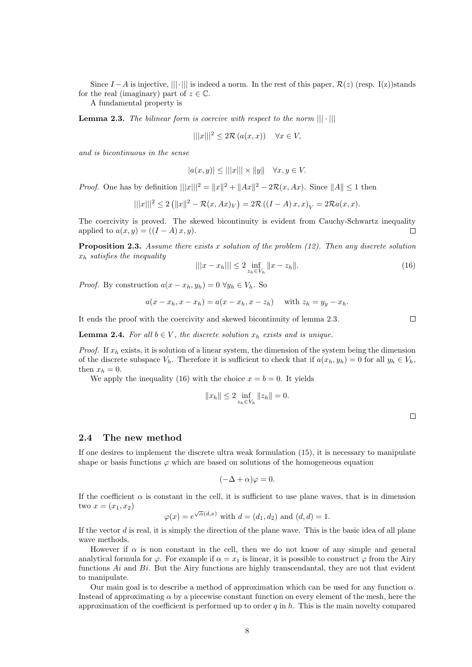Since  $I - A$  is injective,  $|||\cdot|||$  is indeed a norm. In the rest of this paper,  $\mathcal{R}(z)$  (resp. I(z))stands for the real (imaginary) part of  $z \in \mathbb{C}$ .

A fundamental property is

**Lemma 2.3.** The bilinear form is coercive with respect to the norm  $\|\|\cdot\|$ 

$$
|||x|||^2 \le 2\mathcal{R}(a(x,x)) \quad \forall x \in V,
$$

and is bicontinuous in the sense

$$
|a(x,y)| \le |||x||| \times ||y|| \quad \forall x, y \in V.
$$

*Proof.* One has by definition  $|||x|||^2 = ||x||^2 + ||Ax||^2 - 2\mathcal{R}(x, Ax)$ . Since  $||A|| \le 1$  then

$$
|||x|||^2 \le 2(||x||^2 - \mathcal{R}(x, Ax)_V) = 2\mathcal{R}((I - A)x, x)_V = 2\mathcal{R}a(x, x).
$$

The coercivity is proved. The skewed bicontinuity is evident from Cauchy-Schwartz inequality applied to  $a(x, y) = ((I - A)x, y)$ .  $\Box$ 

**Proposition 2.3.** Assume there exists x solution of the problem  $(12)$ . Then any discrete solution  $x_h$  satisfies the inequality

$$
|||x - x_h||| \le 2 \inf_{z_h \in V_h} ||x - z_h||. \tag{16}
$$

*Proof.* By construction  $a(x - x_h, y_h) = 0 \ \forall y_h \in V_h$ . So

$$
a(x - x_h, x - x_h) = a(x - x_h, x - z_h) \quad \text{with } z_h = y_y - x_h.
$$

It ends the proof with the coercivity and skewed bicontinuity of lemma 2.3.

**Lemma 2.4.** For all  $b \in V$ , the discrete solution  $x_h$  exists and is unique.

*Proof.* If  $x_h$  exists, it is solution of a linear system, the dimension of the system being the dimension of the discrete subspace  $V_h$ . Therefore it is sufficient to check that if  $a(x_h, y_h) = 0$  for all  $y_h \in V_h$ , then  $x_h = 0$ .

We apply the inequality (16) with the choice  $x = b = 0$ . It yields

$$
||x_h|| \le 2 \inf_{z_h \in V_h} ||z_h|| = 0.
$$

 $\Box$ 

 $\Box$ 

#### 2.4 The new method

If one desires to implement the discrete ultra weak formulation (15), it is necessary to manipulate shape or basis functions  $\varphi$  which are based on solutions of the homogeneous equation

$$
(-\Delta + \alpha)\varphi = 0.
$$

If the coefficient  $\alpha$  is constant in the cell, it is sufficient to use plane waves, that is in dimension two  $x = (x_1, x_2)$ √

$$
\varphi(x) = e^{\sqrt{\alpha}(d,x)} \text{ with } d = (d_1, d_2) \text{ and } (d, d) = 1.
$$

If the vector  $d$  is real, it is simply the direction of the plane wave. This is the basic idea of all plane wave methods.

However if  $\alpha$  is non constant in the cell, then we do not know of any simple and general analytical formula for  $\varphi$ . For example if  $\alpha = x_1$  is linear, it is possible to construct  $\varphi$  from the Airy functions  $Ai$  and  $Bi$ . But the Airy functions are highly transcendantal, they are not that evident to manipulate.

Our main goal is to describe a method of approximation which can be used for any function  $\alpha$ . Instead of approximating  $\alpha$  by a piecewise constant function on every element of the mesh, here the approximation of the coefficient is performed up to order  $q$  in  $h$ . This is the main novelty compared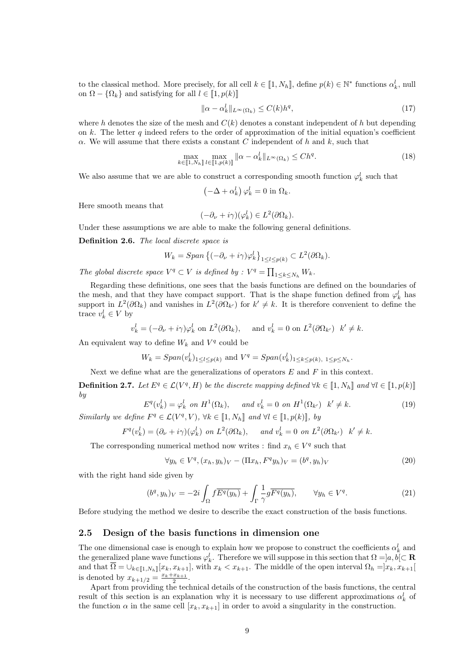to the classical method. More precisely, for all cell  $k \in [1, N_h]$ , define  $p(k) \in \mathbb{N}^*$  functions  $\alpha_k^l$ , null on  $\Omega - \{\Omega_k\}$  and satisfying for all  $l \in [1, p(k)]$ 

$$
\|\alpha - \alpha_k^l\|_{L^\infty(\Omega_k)} \le C(k)h^q,\tag{17}
$$

where h denotes the size of the mesh and  $C(k)$  denotes a constant independent of h but depending on k. The letter q indeed refers to the order of approximation of the initial equation's coefficient  $\alpha$ . We will assume that there exists a constant C independent of h and k, such that

$$
\max_{k \in [\![1,N_h]\!]} \max_{l \in [\![1,p(k)]\!]} \|\alpha - \alpha_k^l\|_{L^\infty(\Omega_k)} \le Ch^q. \tag{18}
$$

We also assume that we are able to construct a corresponding smooth function  $\varphi_k^l$  such that

$$
(-\Delta + \alpha_k^l)\varphi_k^l = 0 \text{ in } \Omega_k.
$$

Here smooth means that

$$
(-\partial_{\nu} + i\gamma)(\varphi_k^l) \in L^2(\partial\Omega_k).
$$

Under these assumptions we are able to make the following general definitions.

Definition 2.6. The local discrete space is

$$
W_k = Span\left\{(-\partial_\nu + i\gamma)\varphi_k^l\right\}_{1 \leq l \leq p(k)} \subset L^2(\partial\Omega_k).
$$

The global discrete space  $V^q \subset V$  is defined by :  $V^q = \prod_{1 \leq k \leq N_h} W_k$ .

Regarding these definitions, one sees that the basis functions are defined on the boundaries of the mesh, and that they have compact support. That is the shape function defined from  $\varphi_k^l$  has support in  $L^2(\partial\Omega_k)$  and vanishes in  $L^2(\partial\Omega_{k'})$  for  $k' \neq k$ . It is therefore convenient to define the trace  $v_k^l \in V$  by

$$
v_k^l = (-\partial_\nu + i\gamma)\varphi_k^l
$$
 on  $L^2(\partial\Omega_k)$ , and  $v_k^l = 0$  on  $L^2(\partial\Omega_{k'})$   $k' \neq k$ .

An equivalent way to define  $W_k$  and  $V^q$  could be

$$
W_k = Span(v_k^l)_{1 \leq l \leq p(k)}
$$
 and  $V^q = Span(v_k^l)_{1 \leq k \leq p(k), 1 \leq p \leq N_h}$ .

Next we define what are the generalizations of operators  $E$  and  $F$  in this context.

**Definition 2.7.** Let  $E^q \in \mathcal{L}(V^q, H)$  be the discrete mapping defined  $\forall k \in [1, N_h]$  and  $\forall l \in [1, p(k)]$ by

$$
E^{q}(v_{k}^{l}) = \varphi_{k}^{l} \text{ on } H^{1}(\Omega_{k}), \quad \text{ and } v_{k}^{l} = 0 \text{ on } H^{1}(\Omega_{k'}) \quad k' \neq k. \tag{19}
$$

Similarly we define  $F^q \in \mathcal{L}(V^q, V)$ ,  $\forall k \in [\![1, N_h]\!]$  and  $\forall l \in [\![1, p(k)]\!]$ , by

$$
F^{q}(v_{k}^{l}) = (\partial_{\nu} + i\gamma)(\varphi_{k}^{l}) \text{ on } L^{2}(\partial\Omega_{k}), \quad \text{ and } v_{k}^{l} = 0 \text{ on } L^{2}(\partial\Omega_{k'}) \quad k' \neq k.
$$

The corresponding numerical method now writes : find  $x_h \in V^q$  such that

$$
\forall y_h \in V^q, (x_h, y_h)_V - (\Pi x_h, F^q y_h)_V = (b^q, y_h)_V \tag{20}
$$

with the right hand side given by

$$
(bq, yh)V = -2i \int_{\Omega} f \overline{Eq(yh)} + \int_{\Gamma} \frac{1}{\gamma} g \overline{Fq(yh)}, \qquad \forall yh \in Vq.
$$
 (21)

Before studying the method we desire to describe the exact construction of the basis functions.

#### 2.5 Design of the basis functions in dimension one

The one dimensional case is enough to explain how we propose to construct the coefficients  $\alpha_k^l$  and the generalized plane wave functions  $\varphi_k^l$ . Therefore we will suppose in this section that  $\Omega =]a, b[ \subset \mathbf{R}]$ and that  $\overline{\Omega} = \bigcup_{k \in [1, N_h]} [x_k, x_{k+1}],$  with  $x_k < x_{k+1}$ . The middle of the open interval  $\Omega_h = ]x_k, x_{k+1}[$ is denoted by  $x_{k+1/2} = \frac{x_k + x_{k+1}}{2}$ .

Apart from providing the technical details of the construction of the basis functions, the central result of this section is an explanation why it is necessary to use different approximations  $\alpha_k^l$  of the function  $\alpha$  in the same cell  $[x_k, x_{k+1}]$  in order to avoid a singularity in the construction.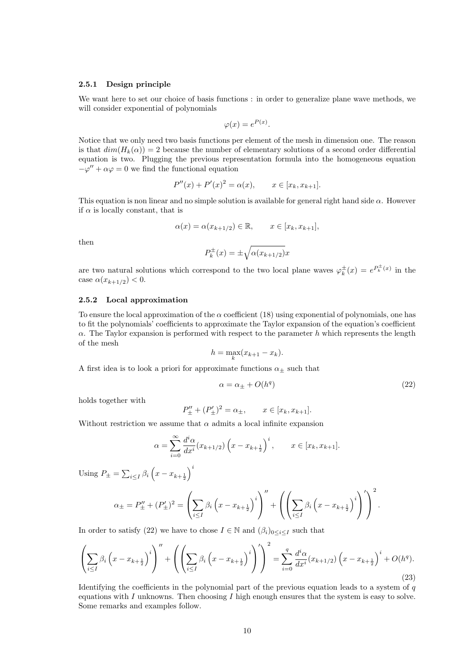#### 2.5.1 Design principle

We want here to set our choice of basis functions : in order to generalize plane wave methods, we will consider exponential of polynomials

$$
\varphi(x) = e^{P(x)}.
$$

Notice that we only need two basis functions per element of the mesh in dimension one. The reason is that  $dim(H_k(\alpha)) = 2$  because the number of elementary solutions of a second order differential equation is two. Plugging the previous representation formula into the homogeneous equation  $-\varphi'' + \alpha \varphi = 0$  we find the functional equation

$$
P''(x) + P'(x)^2 = \alpha(x), \qquad x \in [x_k, x_{k+1}].
$$

This equation is non linear and no simple solution is available for general right hand side  $\alpha$ . However if  $\alpha$  is locally constant, that is

$$
\alpha(x) = \alpha(x_{k+1/2}) \in \mathbb{R}, \qquad x \in [x_k, x_{k+1}],
$$

then

$$
P_k^{\pm}(x) = \pm \sqrt{\alpha (x_{k+1/2})} x
$$

are two natural solutions which correspond to the two local plane waves  $\varphi_k^{\pm}(x) = e^{P_k^{\pm}(x)}$  in the case  $\alpha(x_{k+1/2})$  < 0.

#### 2.5.2 Local approximation

To ensure the local approximation of the  $\alpha$  coefficient (18) using exponential of polynomials, one has to fit the polynomials' coefficients to approximate the Taylor expansion of the equation's coefficient  $\alpha$ . The Taylor expansion is performed with respect to the parameter h which represents the length of the mesh

$$
h = \max_{k} (x_{k+1} - x_k).
$$

A first idea is to look a priori for approximate functions  $\alpha_\pm$  such that

$$
\alpha = \alpha_{\pm} + O(h^q) \tag{22}
$$

holds together with

$$
P''_{\pm} + (P'_{\pm})^2 = \alpha_{\pm}, \qquad x \in [x_k, x_{k+1}].
$$

Without restriction we assume that  $\alpha$  admits a local infinite expansion

$$
\alpha = \sum_{i=0}^{\infty} \frac{d^i \alpha}{dx^i} (x_{k+1/2}) \left( x - x_{k+\frac{1}{2}} \right)^i, \qquad x \in [x_k, x_{k+1}].
$$

Using  $P_{\pm} = \sum_{i \leq I} \beta_i \left( x - x_{k + \frac{1}{2}} \right)^i$ 

$$
\alpha_{\pm} = P''_{\pm} + (P'_{\pm})^2 = \left(\sum_{i \leq I} \beta_i \left(x - x_{k + \frac{1}{2}}\right)^i\right)'' + \left(\left(\sum_{i \leq I} \beta_i \left(x - x_{k + \frac{1}{2}}\right)^i\right)'\right)^2.
$$

In order to satisfy (22) we have to chose  $I \in \mathbb{N}$  and  $(\beta_i)_{0 \leq i \leq I}$  such that

$$
\left(\sum_{i\leq I} \beta_i \left(x - x_{k + \frac{1}{2}}\right)^i \right)'' + \left(\left(\sum_{i\leq I} \beta_i \left(x - x_{k + \frac{1}{2}}\right)^i \right)'\right)^2 = \sum_{i=0}^q \frac{d^i \alpha}{dx^i} (x_{k+1/2}) \left(x - x_{k + \frac{1}{2}}\right)^i + O(h^q). \tag{23}
$$

Identifying the coefficients in the polynomial part of the previous equation leads to a system of  $q$ equations with  $I$  unknowns. Then choosing  $I$  high enough ensures that the system is easy to solve. Some remarks and examples follow.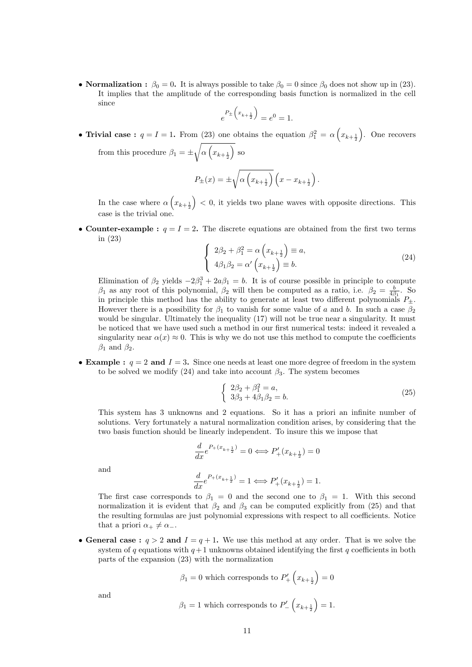• Normalization :  $\beta_0 = 0$ . It is always possible to take  $\beta_0 = 0$  since  $\beta_0$  does not show up in (23). It implies that the amplitude of the corresponding basis function is normalized in the cell since

$$
e^{P_{\pm}\left(x_{k+\frac{1}{2}}\right)} = e^{0} = 1.
$$

• Trivial case:  $q = I = 1$ . From (23) one obtains the equation  $\beta_1^2 = \alpha \left( x_{k+\frac{1}{2}} \right)$ . One recovers from this procedure  $\beta_1 = \pm \sqrt{\alpha \left(x_{k+\frac{1}{2}}\right)}$  so

$$
P_{\pm}(x) = \pm \sqrt{\alpha \left(x_{k+\frac{1}{2}}\right)} \left(x - x_{k+\frac{1}{2}}\right).
$$

In the case where  $\alpha\left(x_{k+\frac{1}{2}}\right)$  < 0, it yields two plane waves with opposite directions. This case is the trivial one.

• Counter-example :  $q = I = 2$ . The discrete equations are obtained from the first two terms in (23)

$$
\begin{cases}\n2\beta_2 + \beta_1^2 = \alpha \left(x_{k + \frac{1}{2}}\right) \equiv a, \\
4\beta_1 \beta_2 = \alpha' \left(x_{k + \frac{1}{2}}\right) \equiv b.\n\end{cases} \tag{24}
$$

Elimination of  $\beta_2$  yields  $-2\beta_1^3 + 2a\beta_1 = b$ . It is of course possible in principle to compute  $β_1$  as any root of this polynomial,  $β_2$  will then be computed as a ratio, i.e.  $β_2 = \frac{b}{4β_1}$ . So in principle this method has the ability to generate at least two different polynomials  $P_{\pm}$ . However there is a possibility for  $\beta_1$  to vanish for some value of a and b. In such a case  $\beta_2$ would be singular. Ultimately the inequality (17) will not be true near a singularity. It must be noticed that we have used such a method in our first numerical tests: indeed it revealed a singularity near  $\alpha(x) \approx 0$ . This is why we do not use this method to compute the coefficients  $\beta_1$  and  $\beta_2$ .

• Example :  $q = 2$  and  $I = 3$ . Since one needs at least one more degree of freedom in the system to be solved we modify (24) and take into account  $\beta_3$ . The system becomes

$$
\begin{cases} 2\beta_2 + \beta_1^2 = a, \\ 3\beta_3 + 4\beta_1\beta_2 = b. \end{cases}
$$
 (25)

This system has 3 unknowns and 2 equations. So it has a priori an infinite number of solutions. Very fortunately a natural normalization condition arises, by considering that the two basis function should be linearly independent. To insure this we impose that

$$
\frac{d}{dx}e^{P_+(x_{k+\frac{1}{2}})} = 0 \Longleftrightarrow P'_+(x_{k+\frac{1}{2}}) = 0
$$

and

$$
\frac{d}{dx}e^{P_+(x_{k+\frac{1}{2}})} = 1 \Longleftrightarrow P'_+(x_{k+\frac{1}{2}}) = 1.
$$

The first case corresponds to  $\beta_1 = 0$  and the second one to  $\beta_1 = 1$ . With this second normalization it is evident that  $\beta_2$  and  $\beta_3$  can be computed explicitly from (25) and that the resulting formulas are just polynomial expressions with respect to all coefficients. Notice that a priori  $\alpha_+ \neq \alpha_-$ .

• General case :  $q > 2$  and  $I = q + 1$ . We use this method at any order. That is we solve the system of q equations with  $q+1$  unknowns obtained identifying the first q coefficients in both parts of the expansion (23) with the normalization

$$
\beta_1 = 0
$$
 which corresponds to  $P'_+ \left( x_{k + \frac{1}{2}} \right) = 0$ 

and

$$
\beta_1 = 1
$$
 which corresponds to  $P'_{-}\left(x_{k+\frac{1}{2}}\right) = 1.$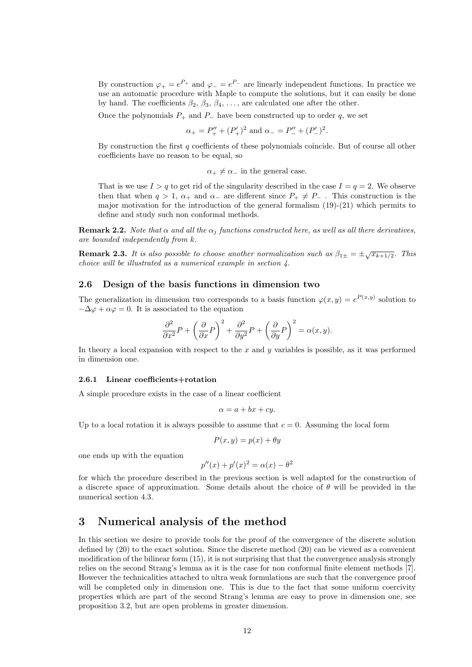By construction  $\varphi_+ = e^{P_+}$  and  $\varphi_- = e^{P_-}$  are linearly independent functions. In practice we use an automatic procedure with Maple to compute the solutions, but it can easily be done by hand. The coefficients  $\beta_2$ ,  $\beta_3$ ,  $\beta_4$ , ..., are calculated one after the other.

Once the polynomials  $P_+$  and  $P_-$  have been constructed up to order q, we set

$$
\alpha_{+} = P''_{+} + (P'_{+})^{2}
$$
 and  $\alpha_{-} = P''_{-} + (P'_{-})^{2}$ .

By construction the first  $q$  coefficients of these polynomials coincide. But of course all other coefficients have no reason to be equal, so

$$
\alpha_+ \neq \alpha_-
$$
 in the general case.

That is we use  $I > q$  to get rid of the singularity described in the case  $I = q = 2$ . We observe then that when  $q > 1$ ,  $\alpha_+$  and  $\alpha_-$  are different since  $P_+ \neq P_-$ . This construction is the major motivation for the introduction of the general formalism  $(19)-(21)$  which permits to define and study such non conformal methods.

**Remark 2.2.** Note that  $\alpha$  and all the  $\alpha_j$  functions constructed here, as well as all there derivatives, are bounded independently from k.

**Remark 2.3.** It is also possible to choose another normalization such as  $\beta_{1\pm} = \pm \sqrt{x_{k+1/2}}$ . This choice will be illustrated as a numerical example in section 4.

#### 2.6 Design of the basis functions in dimension two

The generalization in dimension two corresponds to a basis function  $\varphi(x,y) = e^{P(x,y)}$  solution to  $-\Delta\varphi + \alpha\varphi = 0$ . It is associated to the equation

$$
\frac{\partial^2}{\partial x^2}P + \left(\frac{\partial}{\partial x}P\right)^2 + \frac{\partial^2}{\partial y^2}P + \left(\frac{\partial}{\partial y}P\right)^2 = \alpha(x, y).
$$

In theory a local expansion with respect to the  $x$  and  $y$  variables is possible, as it was performed in dimension one.

#### 2.6.1 Linear coefficients+rotation

A simple procedure exists in the case of a linear coefficient

$$
\alpha = a + bx + cy.
$$

Up to a local rotation it is always possible to assume that  $c = 0$ . Assuming the local form

$$
P(x, y) = p(x) + \theta y
$$

one ends up with the equation

$$
p''(x) + p'(x)^2 = \alpha(x) - \theta^2
$$

for which the procedure described in the previous section is well adapted for the construction of a discrete space of approximation. Some details about the choice of  $\theta$  will be provided in the numerical section 4.3.

# 3 Numerical analysis of the method

In this section we desire to provide tools for the proof of the convergence of the discrete solution defined by (20) to the exact solution. Since the discrete method (20) can be viewed as a convenient modification of the bilinear form (15), it is not surprising that that the convergence analysis strongly relies on the second Strang's lemma as it is the case for non conformal finite element methods [7]. However the technicalities attached to ultra weak formulations are such that the convergence proof will be completed only in dimension one. This is due to the fact that some uniform coercivity properties which are part of the second Strang's lemma are easy to prove in dimension one, see proposition 3.2, but are open problems in greater dimension.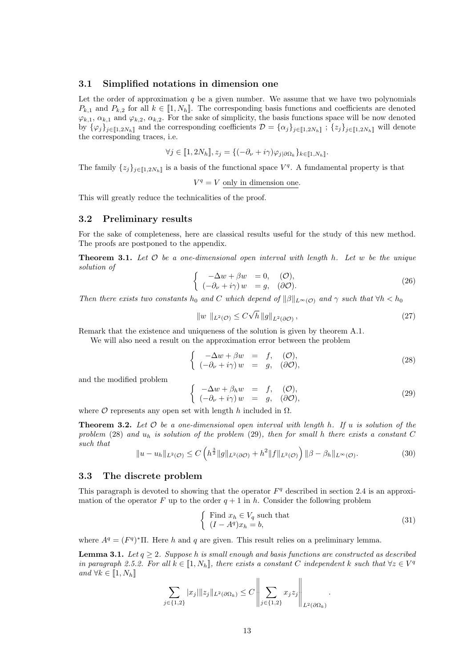#### 3.1 Simplified notations in dimension one

Let the order of approximation  $q$  be a given number. We assume that we have two polynomials  $P_{k,1}$  and  $P_{k,2}$  for all  $k \in [1, N_h]$ . The corresponding basis functions and coefficients are denoted  $\varphi_{k,1}, \alpha_{k,1}$  and  $\varphi_{k,2}, \alpha_{k,2}$ . For the sake of simplicity, the basis functions space will be now denoted by  $\{\varphi_j\}_{j\in[\![1,2N_h]\!]}$  and the corresponding coefficients  $\mathcal{D} = {\{\alpha_j\}_{j\in[\![1,2N_h]\!]}}$ ;  $\{z_j\}_{j\in[\![1,2N_h]\!]}$  will denote the corresponding traces, i.e.

$$
\forall j \in [\![1, 2N_h]\!], z_j = \{(-\partial_\nu + i\gamma)\varphi_{j|\partial\Omega_k}\}_{k \in [\![1, N_h]\!]}.
$$

The family  $\{z_j\}_{j\in\llbracket 1,2N_h\rrbracket}$  is a basis of the functional space  $V^q$ . A fundamental property is that

 $V^q = V$  only in dimension one.

This will greatly reduce the technicalities of the proof.

#### 3.2 Preliminary results

For the sake of completeness, here are classical results useful for the study of this new method. The proofs are postponed to the appendix.

**Theorem 3.1.** Let  $\mathcal O$  be a one-dimensional open interval with length h. Let  $w$  be the unique solution of

$$
\begin{cases}\n-\Delta w + \beta w = 0, & (\mathcal{O}), \\
(-\partial_{\nu} + i\gamma) w = g, & (\partial\mathcal{O}).\n\end{cases}
$$
\n(26)

Then there exists two constants  $h_0$  and C which depend of  $\|\beta\|_{L^{\infty}(\mathcal{O})}$  and  $\gamma$  such that  $\forall h < h_0$ 

$$
||w||_{L^{2}(\mathcal{O})} \leq C\sqrt{h} ||g||_{L^{2}(\partial \mathcal{O})},
$$
\n(27)

Remark that the existence and uniqueness of the solution is given by theorem A.1.

We will also need a result on the approximation error between the problem

$$
\begin{cases}\n-\Delta w + \beta w &= f, & (\mathcal{O}), \\
(-\partial_{\nu} + i\gamma) w &= g, & (\partial \mathcal{O}),\n\end{cases}
$$
\n(28)

and the modified problem

$$
\begin{cases}\n-\Delta w + \beta_h w &= f, & (\mathcal{O}), \\
(-\partial_\nu + i\gamma) w &= g, & (\partial \mathcal{O}),\n\end{cases}
$$
\n(29)

where  $O$  represents any open set with length h included in  $\Omega$ .

**Theorem 3.2.** Let  $\mathcal O$  be a one-dimensional open interval with length h. If u is solution of the problem (28) and  $u_h$  is solution of the problem (29), then for small h there exists a constant C such that

$$
||u - u_h||_{L^2(\mathcal{O})} \le C \left( h^{\frac{3}{2}} ||g||_{L^2(\partial \mathcal{O})} + h^2 ||f||_{L^2(\mathcal{O})} \right) ||\beta - \beta_h||_{L^\infty(\mathcal{O})}.
$$
 (30)

#### 3.3 The discrete problem

This paragraph is devoted to showing that the operator  $F<sup>q</sup>$  described in section 2.4 is an approximation of the operator F up to the order  $q + 1$  in h. Consider the following problem

$$
\begin{cases}\n\text{Find } x_h \in V_q \text{ such that} \\
(I - A^q)x_h = b,\n\end{cases}
$$
\n(31)

.

where  $A^q = (F^q)^* \Pi$ . Here h and q are given. This result relies on a preliminary lemma.

**Lemma 3.1.** Let  $q \geq 2$ . Suppose h is small enough and basis functions are constructed as described in paragraph 2.5.2. For all  $k \in [1, N_h]$ , there exists a constant C independent k such that  $\forall z \in V^q$ and  $\forall k \in [\![1, N_h]\!]$  $\overline{11}$  $\overline{11}$ 

$$
\sum_{j \in \{1,2\}} |x_j| \|z_j\|_{L^2(\partial \Omega_k)} \le C \left\| \sum_{j \in \{1,2\}} x_j z_j \right\|_{L^2(\partial \Omega_k)}
$$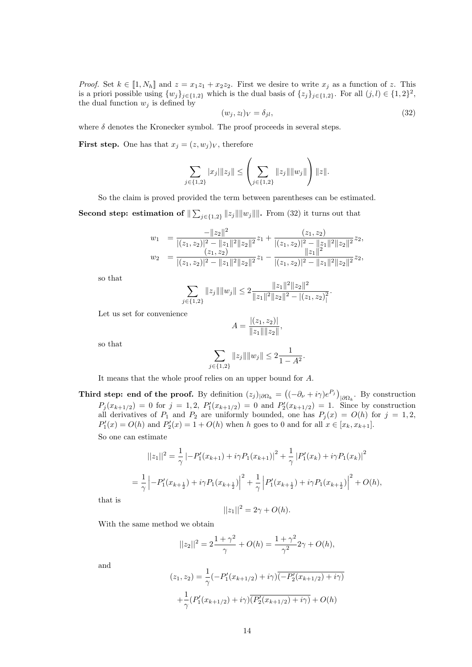*Proof.* Set  $k \in [1, N_h]$  and  $z = x_1z_1 + x_2z_2$ . First we desire to write  $x_j$  as a function of z. This is a priori possible using  $\{w_j\}_{j\in\{1,2\}}$  which is the dual basis of  $\{z_j\}_{j\in\{1,2\}}$ . For all  $(j, l) \in \{1, 2\}^2$ , the dual function  $w_j$  is defined by

$$
(w_j, z_l)_V = \delta_{jl},\tag{32}
$$

.

where  $\delta$  denotes the Kronecker symbol. The proof proceeds in several steps.

**First step.** One has that  $x_j = (z, w_j)_V$ , therefore

$$
\sum_{j\in\{1,2\}}|x_j|\|z_j\| \le \left(\sum_{j\in\{1,2\}}\|z_j\|\|w_j\|\right)\|z\|.
$$

So the claim is proved provided the term between parentheses can be estimated.

**Second step: estimation of**  $\sum_{j\in\{1,2\}} \|z_j\| \|w_j\|$ . From (32) it turns out that

$$
w_1 = \frac{-\|z_2\|^2}{|(z_1, z_2)|^2 - \|z_1\|^2 \|z_2\|^2} z_1 + \frac{(z_1, z_2)}{|(z_1, z_2)|^2 - \|z_1\|^2 \|z_2\|^2} z_2,
$$
  

$$
w_2 = \frac{(z_1, z_2)}{|(z_1, z_2)|^2 - \|z_1\|^2 \|z_2\|^2} z_1 - \frac{\|z_1\|^2 - \|z_1\|^2 \|z_2\|^2}{|(z_1, z_2)|^2 - \|z_1\|^2 \|z_2\|^2} z_2,
$$

so that

$$
\sum_{j \in \{1,2\}} \|z_j\| \|w_j\| \le 2 \frac{\|z_1\|^2 \|z_2\|^2}{\|z_1\|^2 \|z_2\|^2 - |(z_1, z_2)|^2}
$$

Let us set for convenience

$$
A = \frac{|(z_1, z_2)|}{\|z_1\| \|z_2\|},
$$

so that

$$
\sum_{j \in \{1,2\}} \|z_j\| \|w_j\| \le 2 \frac{1}{1 - A^2}.
$$

It means that the whole proof relies on an upper bound for A.

Third step: end of the proof. By definition  $(z_j)_{|\partial\Omega_k} = ((-\partial_\nu + i\gamma)e^{P_j})_{|\partial\Omega_k}$ . By construction  $P_j(x_{k+1/2}) = 0$  for  $j = 1, 2, P'_1(x_{k+1/2}) = 0$  and  $P'_2(x_{k+1/2}) = 1$ . Since by construction all derivatives of  $P_1$  and  $P_2$  are uniformly bounded, one has  $P_j(x) = O(h)$  for  $j = 1, 2$ ,  $P'_{1}(x) = O(h)$  and  $P'_{2}(x) = 1 + O(h)$  when h goes to 0 and for all  $x \in [x_{k}, x_{k+1}]$ .

So one can estimate

$$
||z_1||^2 = \frac{1}{\gamma} \left| -P'_1(x_{k+1}) + i\gamma P_1(x_{k+1}) \right|^2 + \frac{1}{\gamma} \left| P'_1(x_k) + i\gamma P_1(x_k) \right|^2
$$
  
= 
$$
\frac{1}{\gamma} \left| -P'_1(x_{k+\frac{1}{2}}) + i\gamma P_1(x_{k+\frac{1}{2}}) \right|^2 + \frac{1}{\gamma} \left| P'_1(x_{k+\frac{1}{2}}) + i\gamma P_1(x_{k+\frac{1}{2}}) \right|^2 + O(h),
$$

that is

$$
||z_1||^2 = 2\gamma + O(h).
$$

With the same method we obtain

$$
||z_2||^2 = 2\frac{1+\gamma^2}{\gamma} + O(h) = \frac{1+\gamma^2}{\gamma^2}2\gamma + O(h),
$$

and

$$
(z_1, z_2) = \frac{1}{\gamma} \left( -P'_1(x_{k+1/2}) + i\gamma \right) \overline{\left( -P'_2(x_{k+1/2}) + i\gamma \right)}
$$

$$
+ \frac{1}{\gamma} \left( P'_1(x_{k+1/2}) + i\gamma \right) \overline{\left( P'_2(x_{k+1/2}) + i\gamma \right)} + O(h)
$$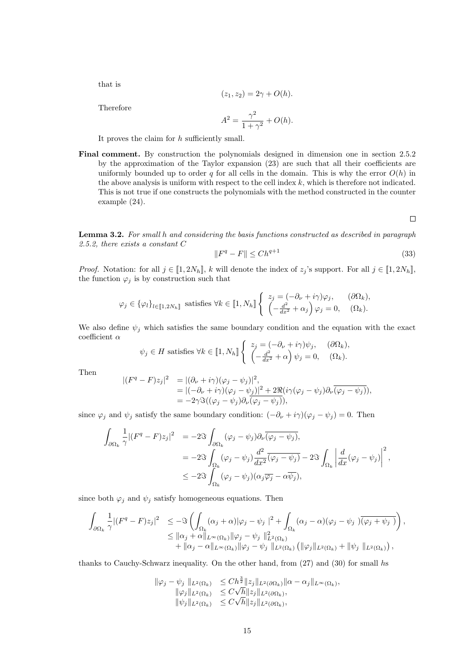that is

$$
(z_1, z_2) = 2\gamma + O(h).
$$

Therefore

$$
A^2 = \frac{\gamma^2}{1 + \gamma^2} + O(h).
$$

It proves the claim for  $h$  sufficiently small.

Final comment. By construction the polynomials designed in dimension one in section 2.5.2 by the approximation of the Taylor expansion (23) are such that all their coefficients are uniformly bounded up to order q for all cells in the domain. This is why the error  $O(h)$  in the above analysis is uniform with respect to the cell index  $k$ , which is therefore not indicated. This is not true if one constructs the polynomials with the method constructed in the counter example (24).

 $\Box$ 

Lemma 3.2. For small h and considering the basis functions constructed as described in paragraph 2.5.2, there exists a constant C

$$
||F^q - F|| \le Ch^{q+1} \tag{33}
$$

*Proof.* Notation: for all  $j \in [\![1, 2N_h]\!]$ , k will denote the index of  $z_j$ 's support. For all  $j \in [\![1, 2N_h]\!]$ , the function  $\varphi_j$  is by construction such that

$$
\varphi_j \in \{\varphi_l\}_{l \in [\![1,2N_h]\!]}\n \text{ satisfies } \forall k \in [\![1,N_h]\!] \left\{ \begin{array}{l} z_j = (-\partial_\nu + i\gamma)\varphi_j, & (\partial\Omega_k), \\ \left(-\frac{d^2}{dx^2} + \alpha_j\right)\varphi_j = 0, & (\Omega_k). \end{array} \right.
$$

We also define  $\psi_j$  which satisfies the same boundary condition and the equation with the exact coefficient $\alpha$ 

$$
\psi_j \in H \text{ satisfies } \forall k \in [\![1, N_h]\!] \left\{ \begin{array}{l} z_j = (-\partial_\nu + i\gamma)\psi_j, & (\partial \Omega_k), \\ \left(-\frac{d^2}{dx^2} + \alpha\right)\psi_j = 0, & (\Omega_k). \end{array} \right.
$$

Then

 $\overline{\phantom{a}}$ 

$$
\begin{array}{lll} (F^q - F)z_j|^2 & = |(\partial_\nu + i\gamma)(\varphi_j - \psi_j)|^2, \\ & = |(-\partial_\nu + i\gamma)(\varphi_j - \psi_j)|^2 + 2\Re(i\gamma(\varphi_j - \psi_j)\partial_\nu\overline{(\varphi_j - \psi_j)}), \\ & = -2\gamma\Im((\varphi_j - \psi_j)\partial_\nu(\varphi_j - \psi_j)), \end{array}
$$

since  $\varphi_j$  and  $\psi_j$  satisfy the same boundary condition:  $(-\partial_\nu + i\gamma)(\varphi_j - \psi_j) = 0$ . Then

$$
\int_{\partial\Omega_k} \frac{1}{\gamma} |(F^q - F)z_j|^2 = -2\Im \int_{\partial\Omega_k} (\varphi_j - \psi_j) \partial_\nu \overline{(\varphi_j - \psi_j)},
$$
  
\n
$$
= -2\Im \int_{\Omega_k} (\varphi_j - \psi_j) \frac{d^2}{dx^2} \overline{(\varphi_j - \psi_j)} - 2\Im \int_{\Omega_k} \left| \frac{d}{dx} (\varphi_j - \psi_j) \right|^2,
$$
  
\n
$$
\leq -2\Im \int_{\Omega_k} (\varphi_j - \psi_j) (\alpha_j \overline{\varphi_j} - \alpha \overline{\psi_j}),
$$

since both  $\varphi_j$  and  $\psi_j$  satisfy homogeneous equations. Then

$$
\int_{\partial\Omega_k} \frac{1}{\gamma} |(F^q - F)z_j|^2 \leq -\Im \left( \int_{\Omega_k} (\alpha_j + \alpha) |\varphi_j - \psi_j|^2 + \int_{\Omega_k} (\alpha_j - \alpha) (\varphi_j - \psi_j) \overline{(\varphi_j + \psi_j)} \right),
$$
  
\n
$$
\leq ||\alpha_j + \alpha||_{L^{\infty}(\Omega_k)} ||\varphi_j - \psi_j||_{L^2(\Omega_k)}^2 + ||\alpha_j - \alpha||_{L^{\infty}(\Omega_k)} ||\varphi_j - \psi_j||_{L^2(\Omega_k)}^2 (||\varphi_j||_{L^2(\Omega_k)} + ||\psi_j||_{L^2(\Omega_k)}),
$$

thanks to Cauchy-Schwarz inequality. On the other hand, from (27) and (30) for small hs

$$
\begin{array}{rcl}\|\varphi_j-\psi_j\|_{L^2(\Omega_k)} & \leq Ch^{\frac{3}{2}}\|z_j\|_{L^2(\partial\Omega_k)}\|\alpha-\alpha_j\|_{L^\infty(\Omega_k)},\\ \|\varphi_j\|_{L^2(\Omega_k)} & \leq C\sqrt{h}\|z_j\|_{L^2(\partial\Omega_k)},\\ \|\psi_j\|_{L^2(\Omega_k)} & \leq C\sqrt{h}\|z_j\|_{L^2(\partial\Omega_k)},\end{array}
$$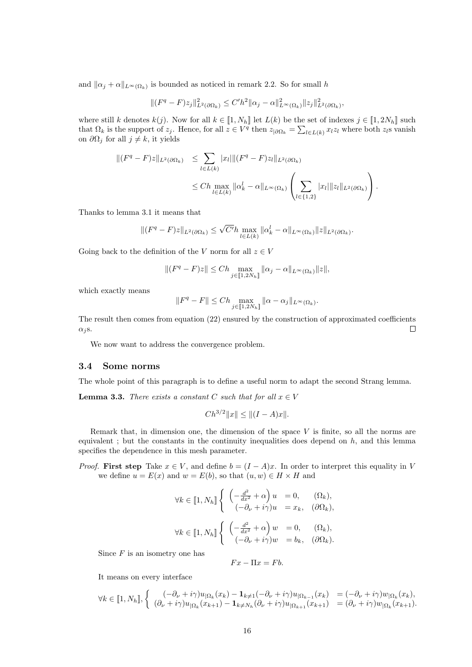and  $\|\alpha_j + \alpha\|_{L^{\infty}(\Omega_k)}$  is bounded as noticed in remark 2.2. So for small h

$$
\|(F^q - F)z_j\|_{L^2(\partial\Omega_k)}^2 \le C'h^2 \|\alpha_j - \alpha\|_{L^\infty(\Omega_k)}^2 \|z_j\|_{L^2(\partial\Omega_k)}^2,
$$

where still k denotes  $k(j)$ . Now for all  $k \in [1, N_h]$  let  $L(k)$  be the set of indexes  $j \in [1, 2N_h]$  such that  $\Omega_k$  is the support of  $z_j$ . Hence, for all  $z \in V^q$  then  $z_{|\partial\Omega_k} = \sum_{l \in L(k)} x_l z_l$  where both  $z_l$ s vanish on  $\partial\Omega_j$  for all  $j \neq k$ , it yields

$$
\begin{aligned} || (F^q - F)z||_{L^2(\partial \Omega_k)} &\leq \sum_{l \in L(k)} |x_l| || (F^q - F)z_l||_{L^2(\partial \Omega_k)} \\ &\leq Ch \max_{l \in L(k)} ||\alpha_k^l - \alpha||_{L^\infty(\Omega_k)} \left( \sum_{l \in \{1,2\}} |x_l| ||z_l||_{L^2(\partial \Omega_k)} \right). \end{aligned}
$$

Thanks to lemma 3.1 it means that

$$
\|(F^q-F)z\|_{L^2(\partial\Omega_k)}\leq \sqrt{C'}h\max_{l\in L(k)}\|\alpha_k^l-\alpha\|_{L^\infty(\Omega_k)}\|z\|_{L^2(\partial\Omega_k)}.
$$

Going back to the definition of the V norm for all  $z \in V$ 

$$
\|(F^q-F)z\|\leq Ch\max_{j\in[\![1,2N_h]\!]} \|\alpha_j-\alpha\|_{L^\infty(\Omega_k)}\|z\|,
$$

which exactly means

$$
\|F^q-F\|\leq Ch\max_{j\in[\![1,2N_h]\!]} \|\alpha-\alpha_j\|_{L^\infty(\Omega_k)}.
$$

The result then comes from equation (22) ensured by the construction of approximated coefficients  $\alpha_i$ s.  $\Box$ 

We now want to address the convergence problem.

#### 3.4 Some norms

The whole point of this paragraph is to define a useful norm to adapt the second Strang lemma.

**Lemma 3.3.** There exists a constant C such that for all  $x \in V$ 

$$
Ch^{3/2}||x|| \le ||(I-A)x||.
$$

Remark that, in dimension one, the dimension of the space  $V$  is finite, so all the norms are equivalent; but the constants in the continuity inequalities does depend on  $h$ , and this lemma specifies the dependence in this mesh parameter.

*Proof.* First step Take  $x \in V$ , and define  $b = (I - A)x$ . In order to interpret this equality in V we define  $u = E(x)$  and  $w = E(b)$ , so that  $(u, w) \in H \times H$  and

$$
\forall k \in [1, N_h] \begin{cases} \left( -\frac{d^2}{dx^2} + \alpha \right) u = 0, & (\Omega_k), \\ \left( -\partial_\nu + i\gamma \right) u = x_k, & (\partial \Omega_k), \end{cases}
$$

$$
\forall k \in [1, N_h] \begin{cases} \left( -\frac{d^2}{dx^2} + \alpha \right) w = 0, & (\Omega_k), \\ \left( -\partial_\nu + i\gamma \right) w = b_k, & (\partial \Omega_k). \end{cases}
$$

Since  $F$  is an isometry one has

 $Fx - \Pi x = Fb.$ 

It means on every interface

$$
\forall k \in \llbracket 1, N_h \rrbracket, \left\{ \begin{array}{ll} (-\partial_{\nu} + i\gamma)u_{|\Omega_k}(x_k) - \mathbf{1}_{k \neq 1}(-\partial_{\nu} + i\gamma)u_{|\Omega_{k-1}}(x_k) & = (-\partial_{\nu} + i\gamma)w_{|\Omega_k}(x_k), \\ (\partial_{\nu} + i\gamma)u_{|\Omega_k}(x_{k+1}) - \mathbf{1}_{k \neq N_h}(\partial_{\nu} + i\gamma)u_{|\Omega_{k+1}}(x_{k+1}) & = (\partial_{\nu} + i\gamma)w_{|\Omega_k}(x_{k+1}). \end{array} \right.
$$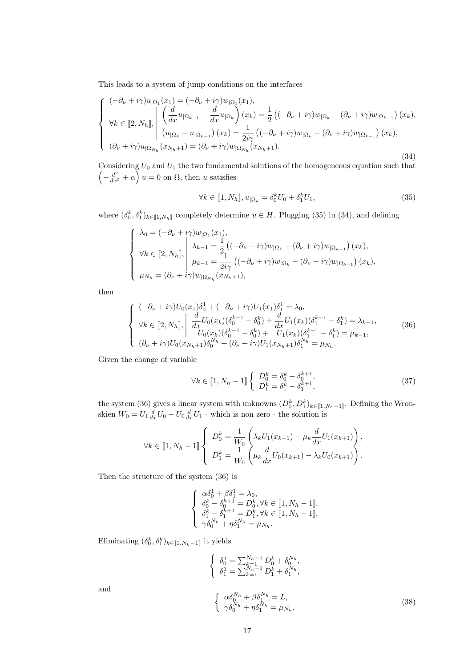This leads to a system of jump conditions on the interfaces

$$
\begin{cases}\n(-\partial_{\nu} + i\gamma)u_{|\Omega_{1}}(x_{1}) = (-\partial_{\nu} + i\gamma)w_{|\Omega_{1}}(x_{1}), \\
\forall k \in [2, N_{h}], \\
(u_{|\Omega_{k}} - u_{|\Omega_{k-1}}) (x_{k}) = \frac{1}{2} \left( (-\partial_{\nu} + i\gamma)w_{|\Omega_{k}} - (\partial_{\nu} + i\gamma)w_{|\Omega_{k-1}} \right)(x_{k}), \\
(u_{|\Omega_{k}} - u_{|\Omega_{k-1}}) (x_{k}) = \frac{1}{2i\gamma} \left( (-\partial_{\nu} + i\gamma)w_{|\Omega_{k}} - (\partial_{\nu} + i\gamma)w_{|\Omega_{k-1}} \right)(x_{k}), \\
(\partial_{\nu} + i\gamma)u_{|\Omega_{N_{h}}}(x_{N_{h}+1}) = (\partial_{\nu} + i\gamma)w_{|\Omega_{N_{h}}}(x_{N_{h}+1}).\n\end{cases}
$$
\n(34)

Considering  $U_0$  and  $U_1$  the two fundamental solutions of the homogeneous equation such that  $\left(-\frac{d^2}{dx^2} + \alpha\right)u = 0$  on  $\Omega$ , then u satisfies

$$
\forall k \in [1, N_h], u_{|\Omega_k} = \delta_0^k U_0 + \delta_1^k U_1,\tag{35}
$$

where  $(\delta_0^k, \delta_1^k)_{k \in [1, N_h]}$  completely determine  $u \in H$ . Plugging (35) in (34), and defining

$$
\begin{cases}\n\lambda_0 = (-\partial_{\nu} + i\gamma)w_{|\Omega_1}(x_1), \\
\forall k \in [2, N_h], \\
\mu_{k-1} = \frac{1}{2} \left( (-\partial_{\nu} + i\gamma)w_{|\Omega_k} - (\partial_{\nu} + i\gamma)w_{|\Omega_{k-1}} \right)(x_k), \\
\mu_{k-1} = \frac{1}{2i\gamma} \left( (-\partial_{\nu} + i\gamma)w_{|\Omega_k} - (\partial_{\nu} + i\gamma)w_{|\Omega_{k-1}} \right)(x_k), \\
\mu_{N_h} = (\partial_{\nu} + i\gamma)w_{|\Omega_{N_h}}(x_{N_h+1}),\n\end{cases}
$$

then

$$
\begin{cases}\n(-\partial_{\nu} + i\gamma)U_{0}(x_{1})\delta_{0}^{1} + (-\partial_{\nu} + i\gamma)U_{1}(x_{1})\delta_{1}^{1} = \lambda_{0}, \\
\forall k \in [2, N_{h}], \left| \begin{array}{cc} \frac{d}{dx}U_{0}(x_{k})(\delta_{0}^{k-1} - \delta_{0}^{k}) + \frac{d}{dx}U_{1}(x_{k})(\delta_{1}^{k-1} - \delta_{1}^{k}) = \lambda_{k-1}, \\
U_{0}(x_{k})(\delta_{0}^{k-1} - \delta_{0}^{k}) + U_{1}(x_{k})(\delta_{1}^{k-1} - \delta_{1}^{k}) = \mu_{k-1}, \\
(\partial_{\nu} + i\gamma)U_{0}(x_{N_{h}+1})\delta_{0}^{N_{h}} + (\partial_{\nu} + i\gamma)U_{1}(x_{N_{h}+1})\delta_{1}^{N_{h}} = \mu_{N_{h}}.\n\end{array}\n\right. (36)
$$

Given the change of variable

$$
\forall k \in [1, N_h - 1] \left\{ \begin{array}{l} D_0^k = \delta_0^k - \delta_0^{k+1}, \\ D_1^k = \delta_1^k - \delta_1^{k+1}, \end{array} \right. \tag{37}
$$

the system (36) gives a linear system with unknowns  $(D_0^k, D_1^k)_{k \in [\![ 1, N_h-1 ]\!]}$ . Defining the Wronskien  $W_0 = U_1 \frac{d}{dx} U_0 - U_0 \frac{d}{dx} U_1$  - which is non zero - the solution is

$$
\forall k \in [1, N_h - 1] \left\{ D_0^k = \frac{1}{W_0} \left( \lambda_k U_1(x_{k+1}) - \mu_k \frac{d}{dx} U_1(x_{k+1}) \right),
$$
  

$$
D_1^k = \frac{1}{W_0} \left( \mu_k \frac{d}{dx} U_0(x_{k+1}) - \lambda_k U_0(x_{k+1}) \right).
$$

Then the structure of the system (36) is

$$
\begin{cases}\n\alpha \delta_0^1 + \beta \delta_1^1 = \lambda_0, \\
\delta_0^k - \delta_0^{k+1} = D_0^k, \forall k \in [\![ 1, N_h - 1 ]\!], \\
\delta_1^k - \delta_1^{k+1} = D_1^k, \forall k \in [\![ 1, N_h - 1 ]\!], \\
\gamma \delta_0^{N_h} + \eta \delta_1^{N_h} = \mu_{N_h}.\n\end{cases}
$$

Eliminating  $(\delta_0^k, \delta_1^k)_{k \in [\![1,N_h-1]\!]}$  it yields

$$
\begin{cases}\n\delta_0^1 = \sum_{k=1}^{N_h - 1} D_0^k + \delta_0^{N_h}, \\
\delta_1^1 = \sum_{k=1}^{N_h - 1} D_1^k + \delta_1^{N_h}, \\
\delta_0^{N_h} + \beta \delta_1^{N_h} = L, \\
\gamma \delta_0^{N_h} + \eta \delta_1^{N_h} = \mu_{N_h},\n\end{cases} (38)
$$

and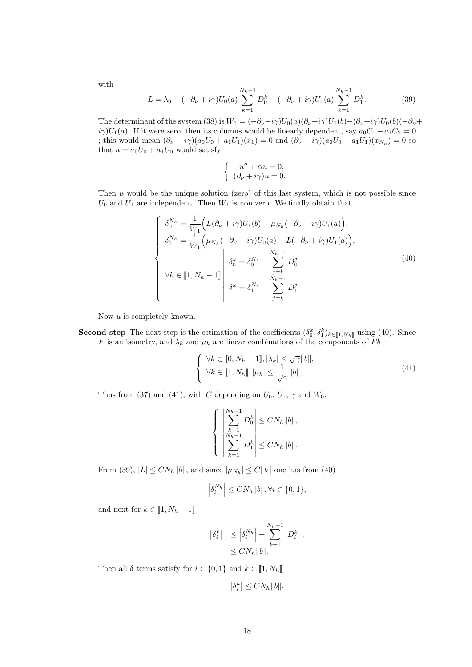with

$$
L = \lambda_0 - (-\partial_{\nu} + i\gamma)U_0(a) \sum_{k=1}^{N_h - 1} D_0^k - (-\partial_{\nu} + i\gamma)U_1(a) \sum_{k=1}^{N_h - 1} D_1^k.
$$
 (39)

The determinant of the system (38) is  $W_1 = (-\partial_\nu + i\gamma)U_0(a)(\partial_\nu + i\gamma)U_1(b)$  $(-\partial_\nu + i\gamma)U_0(b)(-\partial_\nu + i\gamma)U_1(b)$  $i\gamma$ )U<sub>1</sub>(a). If it were zero, then its columns would be linearly dependent, say  $a_0C_1 + a_1C_2 = 0$ ; this would mean  $(\partial_{\nu} + i\gamma)(a_0U_0 + a_1U_1)(x_1) = 0$  and  $(\partial_{\nu} + i\gamma)(a_0U_0 + a_1U_1)(x_{N_h}) = 0$  so that  $u = a_0U_0 + a_1U_0$  would satisfy

$$
\begin{cases}\n-u'' + \alpha u = 0, \\
(\partial_{\nu} + i\gamma)u = 0.\n\end{cases}
$$

Then  $u$  would be the unique solution (zero) of this last system, which is not possible since  $U_0$  and  $U_1$  are independent. Then  $W_1$  is non zero. We finally obtain that

$$
\begin{cases}\n\delta_0^{N_h} = \frac{1}{W_1} \Big( L(\partial_\nu + i\gamma) U_1(b) - \mu_{N_h}(-\partial_\nu + i\gamma) U_1(a) \Big), \\
\delta_1^{N_h} = \frac{1}{W_1} \Big( \mu_{N_h}(-\partial_\nu + i\gamma) U_0(a) - L(-\partial_\nu + i\gamma) U_1(a) \Big), \\
\downarrow \delta_0^k = \delta_0^{N_h} + \sum_{j=k}^{N_h - 1} D_0^j, \\
\forall k \in [1, N_h - 1] \quad \delta_1^k = \delta_1^{N_h} + \sum_{j=k}^{N_h - 1} D_1^j.\n\end{cases} \tag{40}
$$

Now  $u$  is completely known.

**Second step** The next step is the estimation of the coefficients  $(\delta_0^k, \delta_1^k)_{k \in [\![1,N_h]\!]}$  using (40). Since F is an isometry, and  $\lambda_k$  and  $\mu_k$  are linear combinations of the components of Fb

$$
\begin{cases} \forall k \in [0, N_h - 1], |\lambda_k| \leq \sqrt{\gamma} ||b||, \\ \forall k \in [1, N_h], |\mu_k| \leq \frac{1}{\sqrt{\gamma}} ||b||. \end{cases}
$$
\n(41)

Thus from (37) and (41), with C depending on  $U_0$ ,  $U_1$ ,  $\gamma$  and  $W_0$ ,

$$
\left\{\begin{array}{l}\left|\sum_{k=1}^{N_h-1} D_0^k\right| \le CN_h \|b\|,\\ \left|\sum_{N_h-1}^{N_h-1} D_1^k\right| \le CN_h \|b\|. \end{array}\right.
$$

From (39),  $|L| \leq CN_h ||b||$ , and since  $|\mu_{N_h}| \leq C ||b||$  one has from (40)

$$
\left|\delta_i^{N_h}\right| \le CN_h \|b\|, \forall i \in \{0, 1\},\
$$

and next for  $k \in [1, N_h - 1]$ 

$$
\begin{aligned} \left| \delta_i^k \right| &\leq \left| \delta_i^{N_h} \right| + \sum_{k=1}^{N_h - 1} \left| D_i^k \right|, \\ &\leq C N_h \|b\|. \end{aligned}
$$

Then all  $\delta$  terms satisfy for  $i \in \{0,1\}$  and  $k \in [1, N_h]$ 

$$
\left|\delta_i^k\right| \le CN_h \|b\|.
$$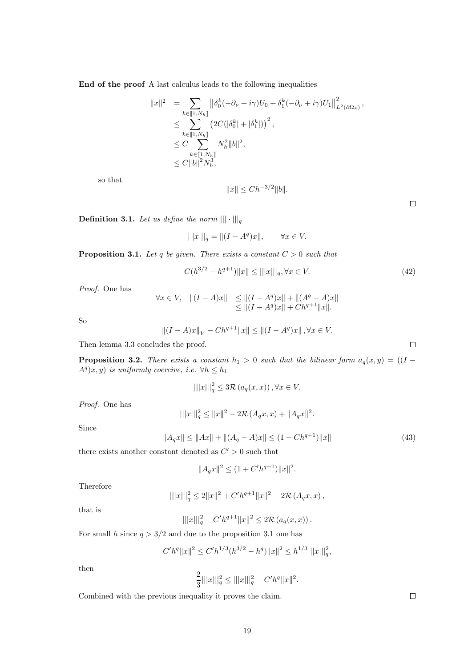End of the proof A last calculus leads to the following inequalities

$$
\begin{array}{lll} \|x\|^2&=&\displaystyle\sum_{k\in [\![ 1,N_h]\!]} \left\|\delta_0^k(-\partial_{\nu}+i\gamma)U_0+\delta_1^k(-\partial_{\nu}+i\gamma)U_1\right\|_{L^2(\partial\Omega_k)}^2,\\ &\leq & \displaystyle\sum_{k\in [\![ 1,N_h]\!]} \left(2C(|\delta_0^k|+|\delta_1^k|)\right)^2,\\ &\leq C & N_h^2 \|b\|^2,\\ &\leq C \|b\|^2 N_h^3, \end{array}
$$

so that

$$
||x|| \leq Ch^{-3/2} ||b||.
$$

**Definition 3.1.** Let us define the norm  $\|\cdot\|_{q}$ 

$$
|||x|||_q = ||(I - A^q)x||
$$
,  $\forall x \in V$ .

**Proposition 3.1.** Let q be given. There exists a constant  $C > 0$  such that

$$
C(h^{3/2} - h^{q+1}) \|x\| \le ||x||_q, \forall x \in V.
$$
\n(42)

Proof. One has

$$
\forall x \in V, \quad ||(I - A)x|| \le ||(I - A^q)x|| + ||(A^q - A)x||
$$
  
\n
$$
\le ||(I - A^q)x|| + Ch^{q+1}||x||.
$$

So

$$
||(I - A)x||_V - Ch^{q+1}||x|| \le ||(I - A^q)x|| \,, \forall x \in V.
$$

Then lemma 3.3 concludes the proof.

**Proposition 3.2.** There exists a constant  $h_1 > 0$  such that the bilinear form  $a_q(x, y) = ((I A^q(x, y)$  is uniformly coercive, i.e.  $\forall h \leq h_1$ 

$$
|||x|||_q^2 \le 3\mathcal{R}\left(a_q(x,x)\right), \forall x \in V.
$$

Proof. One has

$$
|||x|||_q^2 \le ||x||^2 - 2\mathcal{R}(A_q x, x) + ||A_q x||^2
$$

Since

$$
||A_q x|| \le ||Ax|| + ||(A_q - A)x|| \le (1 + C h^{q+1}) ||x|| \tag{43}
$$

.

there exists another constant denoted as  $C' > 0$  such that

$$
||A_q x||^2 \le (1 + C'h^{q+1}) ||x||^2.
$$

Therefore

$$
\| |x|||^2 \leq 2\|x\|^2 + C'h^{q+1} \|x\|^2 - 2\mathcal{R} (A_q x, x) ,
$$

that is

$$
|||x|||_q^2 - C'h^{q+1}||x||^2 \le 2\mathcal{R}(a_q(x,x)).
$$

For small h since  $q > 3/2$  and due to the proposition 3.1 one has

$$
C'h^{q}||x||^{2} \leq C'h^{1/3}(h^{3/2}-h^{q})||x||^{2} \leq h^{1/3}|||x|||_{q}^{2},
$$

then

$$
\frac{2}{3}|||x|||_q^2 \le |||x|||_q^2 - C'h^q ||x||^2.
$$

Combined with the previous inequality it proves the claim.

 $\Box$ 

 $\Box$ 

 $\Box$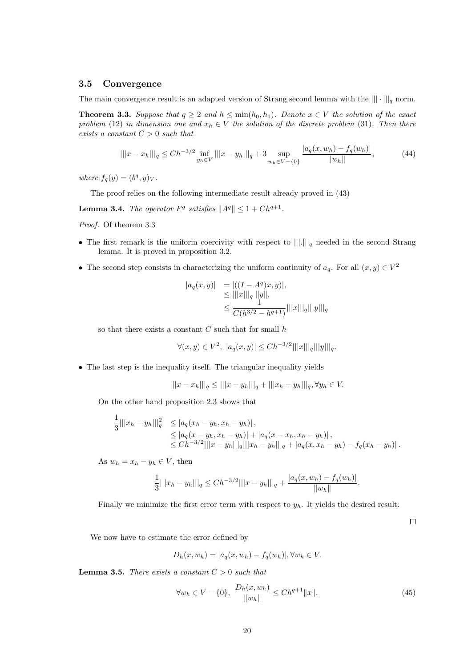#### 3.5 Convergence

The main convergence result is an adapted version of Strang second lemma with the  $\|\cdot\|_q$  norm.

**Theorem 3.3.** Suppose that  $q \geq 2$  and  $h \leq \min(h_0, h_1)$ . Denote  $x \in V$  the solution of the exact problem (12) in dimension one and  $x_h \in V$  the solution of the discrete problem (31). Then there exists a constant  $C > 0$  such that

$$
|||x - x_h|||_q \le Ch^{-3/2} \inf_{y_h \in V} |||x - y_h|||_q + 3 \sup_{w_h \in V - \{0\}} \frac{|a_q(x, w_h) - f_q(w_h)|}{\|w_h\|},\tag{44}
$$

where  $f_q(y) = (b^q, y)_V$ .

The proof relies on the following intermediate result already proved in (43)

**Lemma 3.4.** The operator  $F^q$  satisfies  $||A^q|| \leq 1 + Ch^{q+1}$ .

Proof. Of theorem 3.3

- The first remark is the uniform coercivity with respect to  $\|\|.\|_q$  needed in the second Strang lemma. It is proved in proposition 3.2.
- The second step consists in characterizing the uniform continuity of  $a_q$ . For all  $(x, y) \in V^2$

$$
|a_q(x,y)| = |((I - A^q)x, y)|,\le |||x|||_q ||y||,\le \frac{1}{C(h^{3/2} - h^{q+1})}|||x|||_q|||y|||_q
$$

so that there exists a constant  $C$  such that for small  $h$ 

$$
\forall (x, y) \in V^{2}, \ |a_{q}(x, y)| \leq Ch^{-3/2} |||x|| ||q|| ||y|||_{q}.
$$

• The last step is the inequality itself. The triangular inequality yields

$$
|||x - x_h|||_q \le |||x - y_h|||_q + |||x_h - y_h|||_q, \forall y_h \in V.
$$

On the other hand proposition 2.3 shows that

$$
\frac{1}{3}|||x_h - y_h|||^2 \le |a_q(x_h - y_h, x_h - y_h)|,
$$
  
\n
$$
\le |a_q(x - y_h, x_h - y_h)| + |a_q(x - x_h, x_h - y_h)|,
$$
  
\n
$$
\le Ch^{-3/2}|||x - y_h|||_q|||x_h - y_h|||_q + |a_q(x, x_h - y_h) - f_q(x_h - y_h)|.
$$

As  $w_h = x_h - y_h \in V$ , then

$$
\frac{1}{3}|||x_h - y_h||_q \leq Ch^{-3/2}|||x - y_h||_q + \frac{|a_q(x, w_h) - f_q(w_h)|}{\|w_h\|}.
$$

Finally we minimize the first error term with respect to  $y<sub>h</sub>$ . It yields the desired result.

 $\Box$ 

We now have to estimate the error defined by

$$
D_h(x, w_h) = |a_q(x, w_h) - f_q(w_h)|, \forall w_h \in V.
$$

**Lemma 3.5.** There exists a constant  $C > 0$  such that

$$
\forall w_h \in V - \{0\}, \ \frac{D_h(x, w_h)}{\|w_h\|} \le Ch^{q+1} \|x\|.
$$
 (45)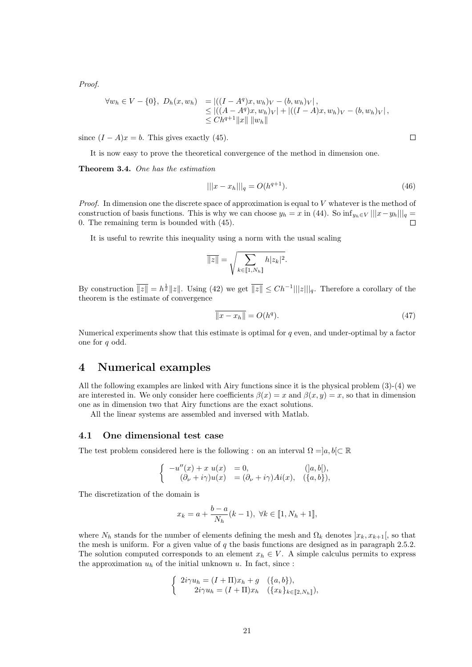Proof.

$$
\forall w_h \in V - \{0\}, D_h(x, w_h) = ||(I - A^q)x, w_h)_V - (b, w_h)_V|,
$$
  
\n
$$
\leq ||(A - A^q)x, w_h)_V| + ||(I - A)x, w_h)_V - (b, w_h)_V|,
$$
  
\n
$$
\leq Ch^{q+1} ||x|| ||w_h||
$$

since  $(I - A)x = b$ . This gives exactly (45).

It is now easy to prove the theoretical convergence of the method in dimension one.

Theorem 3.4. One has the estimation

$$
|||x - x_h|||_q = O(h^{q+1}).\tag{46}
$$

*Proof.* In dimension one the discrete space of approximation is equal to  $V$  whatever is the method of construction of basis functions. This is why we can choose  $y_h = x$  in (44). So  $\inf_{y_h \in V} |||x - y_h|||_q =$ 0. The remaining term is bounded with (45).

It is useful to rewrite this inequality using a norm with the usual scaling

$$
\overline{\|z\|} = \sqrt{\sum_{k \in [\![1,N_h]\!]} h |z_k|^2}.
$$

By construction  $\overline{||z||} = h^{\frac{1}{2}} ||z||$ . Using (42) we get  $\overline{||z||} \leq Ch^{-1} |||z||_q$ . Therefore a corollary of the theorem is the estimate of convergence

$$
\overline{\|x - x_h\|} = O(h^q). \tag{47}
$$

Numerical experiments show that this estimate is optimal for  $q$  even, and under-optimal by a factor one for q odd.

# 4 Numerical examples

All the following examples are linked with Airy functions since it is the physical problem (3)-(4) we are interested in. We only consider here coefficients  $\beta(x) = x$  and  $\beta(x, y) = x$ , so that in dimension one as in dimension two that Airy functions are the exact solutions.

All the linear systems are assembled and inversed with Matlab.

#### 4.1 One dimensional test case

The test problem considered here is the following : on an interval  $\Omega =]a, b[ \subset \mathbb{R}$ 

$$
\begin{cases}\n-u''(x) + x u(x) &= 0, & (]a, b[), \\
(\partial_{\nu} + i\gamma)u(x) &= (\partial_{\nu} + i\gamma)Ai(x), & (\{a, b\}),\n\end{cases}
$$

The discretization of the domain is

$$
x_k = a + \frac{b-a}{N_h}(k-1), \ \forall k \in [1, N_h + 1],
$$

where  $N_h$  stands for the number of elements defining the mesh and  $\Omega_k$  denotes  $x_k, x_{k+1}$ , so that the mesh is uniform. For a given value of  $q$  the basis functions are designed as in paragraph 2.5.2. The solution computed corresponds to an element  $x_h \in V$ . A simple calculus permits to express the approximation  $u_h$  of the initial unknown u. In fact, since :

$$
\begin{cases}\n2i\gamma u_h = (I + \Pi)x_h + g & (\{a, b\}), \\
2i\gamma u_h = (I + \Pi)x_h & (\{x_k\}_{k \in [\![ 2, N_h]\!]}),\n\end{cases}
$$

 $\Box$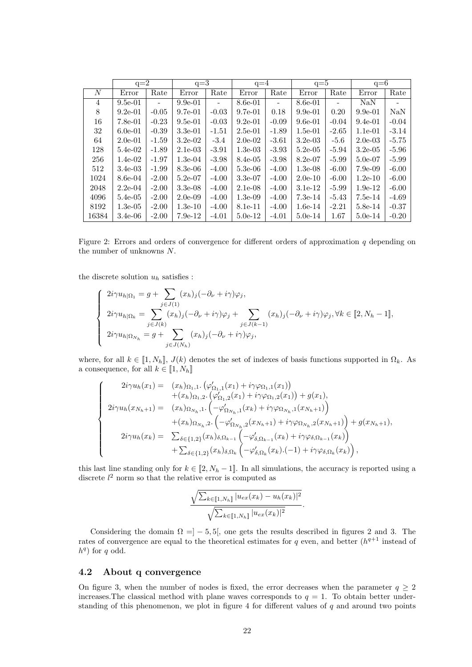|       | $q=2$      |                | $q=3$      |         | $q=4$      |                          | $q=5$      |                          | $q=6$      |         |
|-------|------------|----------------|------------|---------|------------|--------------------------|------------|--------------------------|------------|---------|
| N     | Error      | Rate           | Error      | Rate    | Error      | Rate                     | Error      | Rate                     | Error      | Rate    |
| 4     | $9.5e-01$  | $\overline{a}$ | $9.9e-01$  |         | $8.6e-01$  | $\overline{\phantom{a}}$ | $8.6e-01$  | $\overline{\phantom{0}}$ | <b>NaN</b> |         |
| 8     | $9.2e-01$  | $-0.05$        | $9.7e-01$  | $-0.03$ | $9.7e-01$  | 0.18                     | $9.9e-01$  | 0.20                     | $9.9e-01$  | NaN     |
| 16    | $7.8e-01$  | $-0.23$        | $9.5e-01$  | $-0.03$ | $9.2e-01$  | $-0.09$                  | $9.6e-01$  | $-0.04$                  | $9.4e-01$  | $-0.04$ |
| 32    | $6.0e-01$  | $-0.39$        | $3.3e-01$  | $-1.51$ | $2.5e-01$  | $-1.89$                  | $1.5e-01$  | $-2.65$                  | $1.1e-01$  | $-3.14$ |
| 64    | $2.0e-01$  | $-1.59$        | $3.2e-0.2$ | $-3.4$  | $2.0e-02$  | $-3.61$                  | $3.2e-03$  | $-5.6$                   | $2.0e-03$  | $-5.75$ |
| 128   | $5.4e-02$  | $-1.89$        | $2.1e-0.3$ | $-3.91$ | $1.3e-03$  | $-3.93$                  | $5.2e-0.5$ | $-5.94$                  | $3.2e-0.5$ | $-5.96$ |
| 256   | $1.4e-02$  | $-1.97$        | $1.3e-04$  | $-3.98$ | 8.4e-05    | $-3.98$                  | $8.2e-07$  | $-5.99$                  | $5.0e-07$  | $-5.99$ |
| 512   | $3.4e-03$  | $-1.99$        | $8.3e-06$  | $-4.00$ | $5.3e-06$  | $-4.00$                  | $1.3e-08$  | $-6.00$                  | $7.9e-0.9$ | $-6.00$ |
| 1024  | 8.6e-04    | $-2.00$        | $5.2e-07$  | $-4.00$ | $3.3e-07$  | $-4.00$                  | $2.0e-10$  | $-6.00$                  | $1.2e-10$  | $-6.00$ |
| 2048  | $2.2e-04$  | $-2.00$        | $3.3e-0.8$ | $-4.00$ | $2.1e-08$  | $-4.00$                  | $3.1e-12$  | $-5.99$                  | $1.9e-12$  | $-6.00$ |
| 4096  | $5.4e-0.5$ | $-2.00$        | $2.0e-0.9$ | $-4.00$ | $1.3e-0.9$ | $-4.00$                  | $7.3e-14$  | $-5.43$                  | $7.5e-14$  | $-4.69$ |
| 8192  | $1.3e-0.5$ | $-2.00$        | $1.3e-10$  | $-4.00$ | 8.1e-11    | $-4.00$                  | $1.6e-14$  | $-2.21$                  | 5.8e-14    | $-0.37$ |
| 16384 | $3.4e-06$  | $-2.00$        | $7.9e-12$  | $-4.01$ | $5.0e-12$  | $-4.01$                  | $5.0e-14$  | 1.67                     | $5.0e-14$  | $-0.20$ |

Figure 2: Errors and orders of convergence for different orders of approximation  $q$  depending on the number of unknowns N.

the discrete solution  $u_h$  satisfies :

 $\sqrt{ }$ 

 $\begin{array}{c} \hline \end{array}$ 

$$
\begin{cases}\n2i\gamma u_{h|\Omega_1} = g + \sum_{j \in J(1)} (x_h)_j (-\partial_\nu + i\gamma)\varphi_j, \\
2i\gamma u_{h|\Omega_k} = \sum_{j \in J(k)} (x_h)_j (-\partial_\nu + i\gamma)\varphi_j + \sum_{j \in J(k-1)} (x_h)_j (-\partial_\nu + i\gamma)\varphi_j, \forall k \in [2, N_h - 1], \\
2i\gamma u_{h|\Omega_{N_h}} = g + \sum_{j \in J(N_h)} (x_h)_j (-\partial_\nu + i\gamma)\varphi_j,\n\end{cases}
$$

where, for all  $k \in [1, N_h]$ ,  $J(k)$  denotes the set of indexes of basis functions supported in  $\Omega_k$ . As a consequence, for all  $k \in [1, N_h]$ 

$$
2i\gamma u_{h}(x_{1}) = (x_{h})_{\Omega_{1},1} \cdot (\varphi'_{\Omega_{1},1}(x_{1}) + i\gamma\varphi_{\Omega_{1},1}(x_{1})) + (x_{h})_{\Omega_{1},2} \cdot (\varphi'_{\Omega_{1},2}(x_{1}) + i\gamma\varphi_{\Omega_{1},2}(x_{1})) + g(x_{1}), 2i\gamma u_{h}(x_{N_{h}+1}) = (x_{h})_{\Omega_{N_{h}},1} \cdot (-\varphi'_{\Omega_{N_{h}},1}(x_{k}) + i\gamma\varphi_{\Omega_{N_{h}},1}(x_{N_{h}+1})) + (x_{h})_{\Omega_{N_{h}},2} \cdot (-\varphi'_{\Omega_{N_{h}},2}(x_{N_{h}+1}) + i\gamma\varphi_{\Omega_{N_{h}},2}(x_{N_{h}+1})) + g(x_{N_{h}+1}), 2i\gamma u_{h}(x_{k}) = \sum_{\delta \in \{1,2\}} (x_{h})_{\delta,\Omega_{k-1}} \cdot (-\varphi'_{\delta,\Omega_{k-1}}(x_{k}) + i\gamma\varphi_{\delta,\Omega_{k-1}}(x_{k})) + \sum_{\delta \in \{1,2\}} (x_{h})_{\delta,\Omega_{k}} \cdot (-\varphi'_{\delta,\Omega_{k}}(x_{k}).(-1) + i\gamma\varphi_{\delta,\Omega_{k}}(x_{k})),
$$

this last line standing only for  $k \in [2, N_h - 1]$ . In all simulations, the accuracy is reported using a discrete  $l^2$  norm so that the relative error is computed as

$$
\frac{\sqrt{\sum_{k\in[\![1,N_h]\!]}|u_{ex}(x_k)-u_h(x_k)|^2}}{\sqrt{\sum_{k\in[\![1,N_h]\!]}|u_{ex}(x_k)|^2}}.
$$

Considering the domain  $\Omega = ]-5,5[$ , one gets the results described in figures 2 and 3. The rates of convergence are equal to the theoretical estimates for q even, and better  $(h^{q+1})$  instead of  $h^{q}$ ) for q odd.

#### 4.2 About q convergence

On figure 3, when the number of nodes is fixed, the error decreases when the parameter  $q \geq 2$ increases. The classical method with plane waves corresponds to  $q = 1$ . To obtain better understanding of this phenomenon, we plot in figure 4 for different values of  $q$  and around two points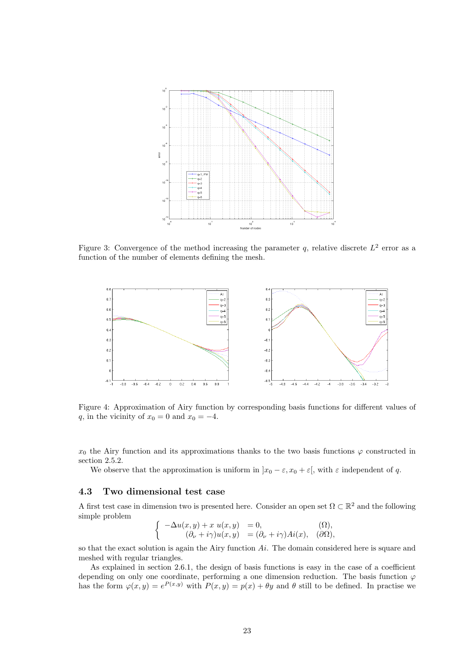

Figure 3: Convergence of the method increasing the parameter q, relative discrete  $L^2$  error as a function of the number of elements defining the mesh.



Figure 4: Approximation of Airy function by corresponding basis functions for different values of q, in the vicinity of  $x_0 = 0$  and  $x_0 = -4$ .

 $x_0$  the Airy function and its approximations thanks to the two basis functions  $\varphi$  constructed in section 2.5.2.

We observe that the approximation is uniform in  $x_0 - \varepsilon$ ,  $x_0 + \varepsilon$ , with  $\varepsilon$  independent of q.

#### 4.3 Two dimensional test case

A first test case in dimension two is presented here. Consider an open set  $\Omega \subset \mathbb{R}^2$  and the following simple problem

$$
\begin{cases}\n-\Delta u(x,y) + x u(x,y) &= 0, & (\Omega), \\
(\partial_{\nu} + i\gamma)u(x,y) &= (\partial_{\nu} + i\gamma)Ai(x), & (\partial\Omega),\n\end{cases}
$$

so that the exact solution is again the Airy function  $Ai$ . The domain considered here is square and meshed with regular triangles.

As explained in section 2.6.1, the design of basis functions is easy in the case of a coefficient depending on only one coordinate, performing a one dimension reduction. The basis function  $\varphi$ has the form  $\varphi(x,y) = e^{P(x,y)}$  with  $P(x,y) = p(x) + \theta y$  and  $\theta$  still to be defined. In practise we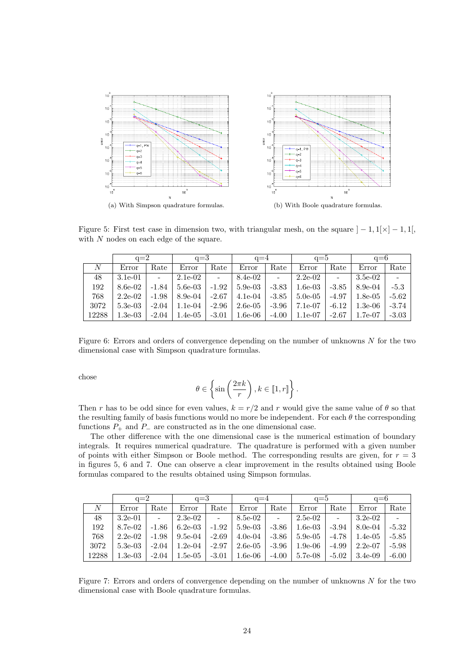

Figure 5: First test case in dimension two, with triangular mesh, on the square  $]-1,1[\times ]-1,1[$ , with N nodes on each edge of the square.

|       | $q=2$     |                | $q=3$      |         | $q=4$      |                | $q=5$      |                | $q=6$      |         |
|-------|-----------|----------------|------------|---------|------------|----------------|------------|----------------|------------|---------|
| N     | Error     | Rate           | Error      | Rate    | Error      | Rate           | Error      | Rate           | Error      | Rate    |
| 48    | $3.1e-01$ | $\overline{a}$ | $2.1e-0.2$ | $\sim$  | 8.4e-02    | $\overline{a}$ | $2.2e-0.2$ | $\overline{a}$ | $3.5e-02$  |         |
| 192   | 8.6e-02   | $-1.84$        | $5.6e-03$  | $-1.92$ | $5.9e-03$  | $-3.83$        | $1.6e-03$  | $-3.85$        | $8.9e-04$  | $-5.3$  |
| 768   | $2.2e-02$ | $-1.98$        | $8.9e-04$  | $-2.67$ | $4.1e-04$  | $-3.85$        | $5.0e-0.5$ | $-4.97$        | $1.8e-0.5$ | $-5.62$ |
| 3072  | $5.3e-03$ | $-2.04$        | $1.1e-04$  | $-2.96$ | $2.6e-0.5$ | $-3.96$        | 7.1e-07    | $-6.12$        | $1.3e-06$  | $-3.74$ |
| 12288 | $1.3e-03$ | $-2.04$        | $1.4e-05$  | $-3.01$ | $1.6e-06$  | $-4.00$        | $1.1e-07$  | $-2.67$        | $1.7e-07$  | $-3.03$ |

Figure 6: Errors and orders of convergence depending on the number of unknowns  $N$  for the two dimensional case with Simpson quadrature formulas.

chose

$$
\theta\in\left\{\sin\left(\frac{2\pi k}{r}\right),k\in\llbracket 1,r\rrbracket\right\}.
$$

Then r has to be odd since for even values,  $k = r/2$  and r would give the same value of  $\theta$  so that the resulting family of basis functions would no more be independent. For each  $\theta$  the corresponding functions  $P_+$  and  $P_-$  are constructed as in the one dimensional case.

The other difference with the one dimensional case is the numerical estimation of boundary integrals. It requires numerical quadrature. The quadrature is performed with a given number of points with either Simpson or Boole method. The corresponding results are given, for  $r = 3$ in figures 5, 6 and 7. One can observe a clear improvement in the results obtained using Boole formulas compared to the results obtained using Simpson formulas.

|       | $q=2$      |                          | $q=3$      |         | $q=4$      |         | $q=5$      |         | $a=6$      |         |
|-------|------------|--------------------------|------------|---------|------------|---------|------------|---------|------------|---------|
| N     | Error      | Rate                     | Error      | Rate    | Error      | Rate    | Error      | Rate    | Error      | Rate    |
| 48    | $3.2e-01$  | $\overline{\phantom{a}}$ | $2.3e-0.2$ | $\sim$  | 8.5e-02    | $\sim$  | $2.5e-02$  |         | $3.2e-0.2$ |         |
| 192   | 8.7e-02    | $-1.86$                  | $6.2e-03$  | $-1.92$ | $5.9e-03$  | $-3.86$ | $1.6e-03$  | $-3.94$ | $8.0e-04$  | $-5.32$ |
| 768   | $2.2e-0.2$ | $-1.98$                  | $9.5e-04$  | $-2.69$ | $4.0e-04$  | $-3.86$ | $5.9e-0.5$ | $-4.78$ | $1.4e-0.5$ | $-5.85$ |
| 3072  | $5.3e-03$  | $-2.04$                  | $1.2e-04$  | $-2.97$ | $2.6e-0.5$ | $-3.96$ | $1.9e-06$  | $-4.99$ | $2.2e-07$  | $-5.98$ |
| 12288 | $1.3e-03$  | $-2.04$                  | $1.5e-05$  | $-3.01$ | $1.6e-06$  | $-4.00$ | 5.7e-08    | $-5.02$ | $3.4e-0.9$ | $-6.00$ |

Figure 7: Errors and orders of convergence depending on the number of unknowns  $N$  for the two dimensional case with Boole quadrature formulas.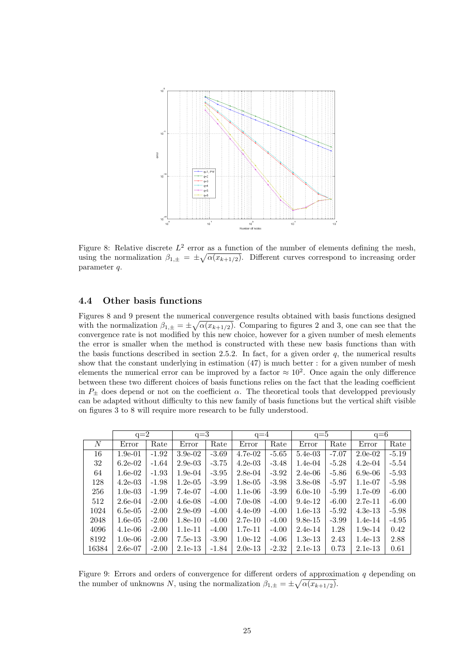

Figure 8: Relative discrete  $L^2$  error as a function of the number of elements defining the mesh, using the normalization  $\beta_{1,\pm} = \pm \sqrt{\alpha(x_{k+1/2})}$ . Different curves correspond to increasing order parameter q.

### 4.4 Other basis functions

Figures 8 and 9 present the numerical convergence results obtained with basis functions designed with the normalization  $\beta_{1,\pm} = \pm \sqrt{\alpha(x_{k+1/2})}$ . Comparing to figures 2 and 3, one can see that the convergence rate is not modified by this new choice, however for a given number of mesh elements the error is smaller when the method is constructed with these new basis functions than with the basis functions described in section 2.5.2. In fact, for a given order  $q$ , the numerical results show that the constant underlying in estimation (47) is much better : for a given number of mesh elements the numerical error can be improved by a factor  $\approx 10^2$ . Once again the only difference between these two different choices of basis functions relies on the fact that the leading coefficient in  $P_{\pm}$  does depend or not on the coefficient  $\alpha$ . The theoretical tools that developped previously can be adapted without difficulty to this new family of basis functions but the vertical shift visible on figures 3 to 8 will require more research to be fully understood.

|       | $q=2$      |         | $q=3$      |         | $q=4$      |         | $q=5$      |         | $q=6$      |         |
|-------|------------|---------|------------|---------|------------|---------|------------|---------|------------|---------|
| N     | Error      | Rate    | Error      | Rate    | Error      | Rate    | Error      | Rate    | Error      | Rate    |
| 16    | $1.9e-01$  | $-1.92$ | $3.9e-02$  | $-3.69$ | 4.7e-02    | $-5.65$ | $5.4e-03$  | $-7.07$ | $2.0e-02$  | $-5.19$ |
| 32    | $6.2e-02$  | $-1.64$ | $2.9e-03$  | $-3.75$ | $4.2e-03$  | $-3.48$ | $1.4e-04$  | $-5.28$ | $4.2e-04$  | $-5.54$ |
| 64    | $1.6e-02$  | $-1.93$ | $1.9e-04$  | $-3.95$ | $2.8e-04$  | $-3.92$ | $2.4e-06$  | $-5.86$ | $6.9e-06$  | $-5.93$ |
| 128   | $4.2e-03$  | $-1.98$ | $1.2e-0.5$ | $-3.99$ | $1.8e-0.5$ | $-3.98$ | $3.8e-0.8$ | $-5.97$ | $1.1e-07$  | $-5.98$ |
| 256   | $1.0e-03$  | $-1.99$ | 7.4e-07    | $-4.00$ | $1.1e-06$  | $-3.99$ | $6.0e-10$  | $-5.99$ | $1.7e-0.9$ | $-6.00$ |
| 512   | $2.6e-04$  | $-2.00$ | $4.6e-08$  | $-4.00$ | $7.0e-08$  | $-4.00$ | $9.4e-12$  | $-6.00$ | $2.7e-11$  | $-6.00$ |
| 1024  | $6.5e-0.5$ | $-2.00$ | $2.9e-0.9$ | $-4.00$ | $4.4e-09$  | $-4.00$ | $1.6e-13$  | $-5.92$ | $4.3e-13$  | $-5.98$ |
| 2048  | $1.6e-0.5$ | $-2.00$ | $1.8e-10$  | $-4.00$ | $2.7e-10$  | $-4.00$ | $9.8e-15$  | $-3.99$ | $1.4e-14$  | $-4.95$ |
| 4096  | $4.1e-06$  | $-2.00$ | $1.1e-11$  | $-4.00$ | $1.7e-11$  | $-4.00$ | $2.4e-14$  | 1.28    | $1.9e-14$  | 0.42    |
| 8192  | $1.0e-06$  | $-2.00$ | $7.5e-13$  | $-3.90$ | $1.0e-12$  | $-4.06$ | $1.3e-13$  | 2.43    | $1.4e-13$  | 2.88    |
| 16384 | $2.6e-07$  | $-2.00$ | $2.1e-13$  | $-1.84$ | $2.0e-13$  | $-2.32$ | $2.1e-13$  | 0.73    | $2.1e-13$  | 0.61    |
|       |            |         |            |         |            |         |            |         |            |         |

Figure 9: Errors and orders of convergence for different orders of approximation  $q$  depending on the number of unknowns N, using the normalization  $\beta_{1,\pm} = \pm \sqrt{\alpha(x_{k+1/2})}$ .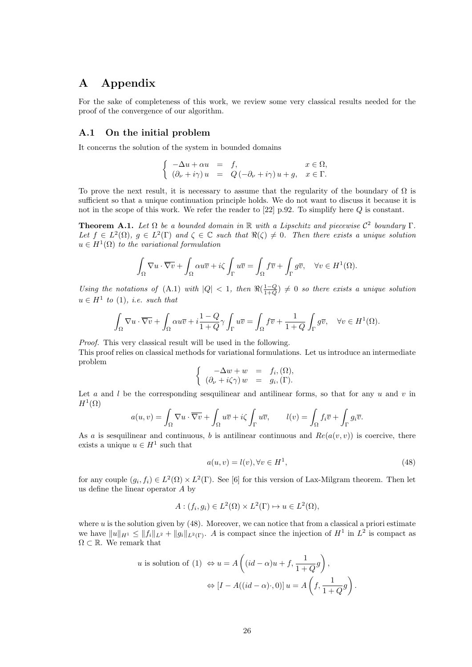# A Appendix

For the sake of completeness of this work, we review some very classical results needed for the proof of the convergence of our algorithm.

#### A.1 On the initial problem

It concerns the solution of the system in bounded domains

$$
\begin{cases}\n-\Delta u + \alpha u &= f, & x \in \Omega, \\
(\partial_{\nu} + i\gamma) u &= Q(-\partial_{\nu} + i\gamma)u + g, & x \in \Gamma.\n\end{cases}
$$

To prove the next result, it is necessary to assume that the regularity of the boundary of  $\Omega$  is sufficient so that a unique continuation principle holds. We do not want to discuss it because it is not in the scope of this work. We refer the reader to [22] p.92. To simplify here Q is constant.

**Theorem A.1.** Let  $\Omega$  be a bounded domain in  $\mathbb R$  with a Lipschitz and piecewise  $\mathcal{C}^2$  boundary  $\Gamma$ . Let  $f \in L^2(\Omega)$ ,  $g \in L^2(\Gamma)$  and  $\zeta \in \mathbb{C}$  such that  $\Re(\zeta) \neq 0$ . Then there exists a unique solution  $u \in H^1(\Omega)$  to the variational formulation

$$
\int_{\Omega} \nabla u \cdot \overline{\nabla v} + \int_{\Omega} \alpha u \overline{v} + i\zeta \int_{\Gamma} u \overline{v} = \int_{\Omega} f \overline{v} + \int_{\Gamma} g \overline{v}, \quad \forall v \in H^{1}(\Omega).
$$

Using the notations of (A.1) with  $|Q| < 1$ , then  $\Re(\frac{1-Q}{1+Q}) \neq 0$  so there exists a unique solution  $u \in H^1$  to (1), *i.e.* such that

$$
\int_{\Omega} \nabla u \cdot \overline{\nabla v} + \int_{\Omega} \alpha u \overline{v} + i \frac{1 - Q}{1 + Q} \gamma \int_{\Gamma} u \overline{v} = \int_{\Omega} f \overline{v} + \frac{1}{1 + Q} \int_{\Gamma} g \overline{v}, \quad \forall v \in H^{1}(\Omega).
$$

Proof. This very classical result will be used in the following.

This proof relies on classical methods for variational formulations. Let us introduce an intermediate problem

$$
\begin{cases}\n-\Delta w + w &= f_i, (\Omega), \\
(\partial_\nu + i\zeta \gamma) w &= g_i, (\Gamma).\n\end{cases}
$$

Let a and l be the corresponding sesquilinear and antilinear forms, so that for any u and v in  $H^1(\Omega)$ 

$$
a(u,v) = \int_{\Omega} \nabla u \cdot \overline{\nabla v} + \int_{\Omega} u \overline{v} + i\zeta \int_{\Gamma} u \overline{v}, \qquad l(v) = \int_{\Omega} f_i \overline{v} + \int_{\Gamma} g_i \overline{v}.
$$

As a is sesquilinear and continuous, b is antilinear continuous and  $Re(a(v, v))$  is coercive, there exists a unique  $u \in H^1$  such that

$$
a(u, v) = l(v), \forall v \in H^1,\tag{48}
$$

for any couple  $(g_i, f_i) \in L^2(\Omega) \times L^2(\Gamma)$ . See [6] for this version of Lax-Milgram theorem. Then let us define the linear operator A by

$$
A: (f_i, g_i) \in L^2(\Omega) \times L^2(\Gamma) \mapsto u \in L^2(\Omega),
$$

where  $u$  is the solution given by  $(48)$ . Moreover, we can notice that from a classical a priori estimate we have  $||u||_{H^1} \le ||f_i||_{L^2} + ||g_i||_{L^2(\Gamma)}$ . A is compact since the injection of  $H^1$  in  $L^2$  is compact as  $\Omega \subset \mathbb{R}$ . We remark that

$$
u \text{ is solution of (1)} \Leftrightarrow u = A\left((id - \alpha)u + f, \frac{1}{1 + Q}g\right),
$$

$$
\Leftrightarrow [I - A((id - \alpha) \cdot, 0)]u = A\left(f, \frac{1}{1 + Q}g\right).
$$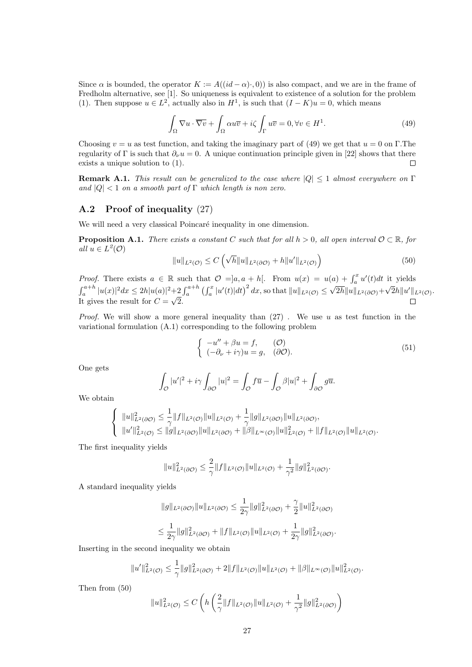Since  $\alpha$  is bounded, the operator  $K := A((id - \alpha) \cdot 0)$  is also compact, and we are in the frame of Fredholm alternative, see [1]. So uniqueness is equivalent to existence of a solution for the problem (1). Then suppose  $u \in L^2$ , actually also in  $H^1$ , is such that  $(I - K)u = 0$ , which means

$$
\int_{\Omega} \nabla u \cdot \overline{\nabla v} + \int_{\Omega} \alpha u \overline{v} + i\zeta \int_{\Gamma} u \overline{v} = 0, \forall v \in H^1.
$$
\n(49)

Choosing  $v = u$  as test function, and taking the imaginary part of (49) we get that  $u = 0$  on Γ.The regularity of Γ is such that  $\partial_{\nu}u = 0$ . A unique continuation principle given in [22] shows that there exists a unique solution to (1).  $\Box$ 

**Remark A.1.** This result can be generalized to the case where  $|Q| \leq 1$  almost everywhere on  $\Gamma$ and  $|Q|$  < 1 on a smooth part of  $\Gamma$  which length is non zero.

### A.2 Proof of inequality (27)

We will need a very classical Poincaré inequality in one dimension.

**Proposition A.1.** There exists a constant C such that for all  $h > 0$ , all open interval  $\mathcal{O} \subset \mathbb{R}$ , for all  $u \in L^2(\mathcal{O})$ 

$$
||u||_{L^{2}(\mathcal{O})} \leq C\left(\sqrt{h}||u||_{L^{2}(\partial\mathcal{O})} + h||u'||_{L^{2}(\mathcal{O})}\right)
$$
\n(50)

*Proof.* There exists  $a \in \mathbb{R}$  such that  $\mathcal{O} =]a, a+h[$ . From  $u(x) = u(a) + \int_a^x u'(t)dt$  it yields  $\int_{a}^{a+h} |u(x)|^2 dx \le 2h|u(a)|^2 + 2 \int_{a}^{a+h} \left(\int_{a}^{x} |u'(t)| dt\right)^2 dx$ , so that  $||u||_{L^2(\mathcal{O})} \le$ √  $2h||u||_{L^2(\partial\mathcal{O})}+$ √  $\overline{2}h||u'||_{L^2(\mathcal{O})}.$ It gives the result for  $C =$ √ 2.

*Proof.* We will show a more general inequality than  $(27)$ . We use u as test function in the variational formulation (A.1) corresponding to the following problem

$$
\begin{cases}\n-u'' + \beta u = f, & (\mathcal{O}) \\
(-\partial_{\nu} + i\gamma)u = g, & (\partial \mathcal{O}).\n\end{cases}
$$
\n(51)

One gets

$$
\int_{\mathcal{O}} |u'|^2 + i\gamma \int_{\partial \mathcal{O}} |u|^2 = \int_{\mathcal{O}} f\overline{u} - \int_{\mathcal{O}} \beta |u|^2 + \int_{\partial \mathcal{O}} g\overline{u}.
$$

We obtain

$$
\begin{cases} ||u||^2_{L^2(\partial \mathcal{O})} \leq \frac{1}{\gamma} ||f||_{L^2(\mathcal{O})} ||u||_{L^2(\mathcal{O})} + \frac{1}{\gamma} ||g||_{L^2(\partial \mathcal{O})} ||u||_{L^2(\partial \mathcal{O})}, \\ ||u'||^2_{L^2(\mathcal{O})} \leq ||g||_{L^2(\partial \mathcal{O})} ||u||_{L^2(\partial \mathcal{O})} + ||\beta||_{L^{\infty}(\mathcal{O})} ||u||^2_{L^2(\mathcal{O})} + ||f||_{L^2(\mathcal{O})} ||u||_{L^2(\mathcal{O})}. \end{cases}
$$

The first inequality yields

$$
||u||_{L^{2}(\partial \mathcal{O})}^{2} \leq \frac{2}{\gamma}||f||_{L^{2}(\mathcal{O})}||u||_{L^{2}(\mathcal{O})} + \frac{1}{\gamma^{2}}||g||_{L^{2}(\partial \mathcal{O})}^{2}.
$$

A standard inequality yields

$$
||g||_{L^{2}(\partial \mathcal{O})}||u||_{L^{2}(\partial \mathcal{O})} \leq \frac{1}{2\gamma} ||g||_{L^{2}(\partial \mathcal{O})}^{2} + \frac{\gamma}{2} ||u||_{L^{2}(\partial \mathcal{O})}^{2}
$$
  

$$
\leq \frac{1}{2\gamma} ||g||_{L^{2}(\partial \mathcal{O})}^{2} + ||f||_{L^{2}(\mathcal{O})} ||u||_{L^{2}(\mathcal{O})} + \frac{1}{2\gamma} ||g||_{L^{2}(\partial \mathcal{O})}^{2}.
$$

Inserting in the second inequality we obtain

$$
||u'||_{L^{2}(\mathcal{O})}^{2} \leq \frac{1}{\gamma}||g||_{L^{2}(\partial\mathcal{O})}^{2} + 2||f||_{L^{2}(\mathcal{O})}||u||_{L^{2}(\mathcal{O})} + ||\beta||_{L^{\infty}(\mathcal{O})}||u||_{L^{2}(\mathcal{O})}^{2}.
$$

Then from (50)

$$
||u||_{L^{2}(\mathcal{O})}^{2} \leq C \left( h \left( \frac{2}{\gamma} ||f||_{L^{2}(\mathcal{O})} ||u||_{L^{2}(\mathcal{O})} + \frac{1}{\gamma^{2}} ||g||_{L^{2}(\partial \mathcal{O})}^{2} \right) \right)
$$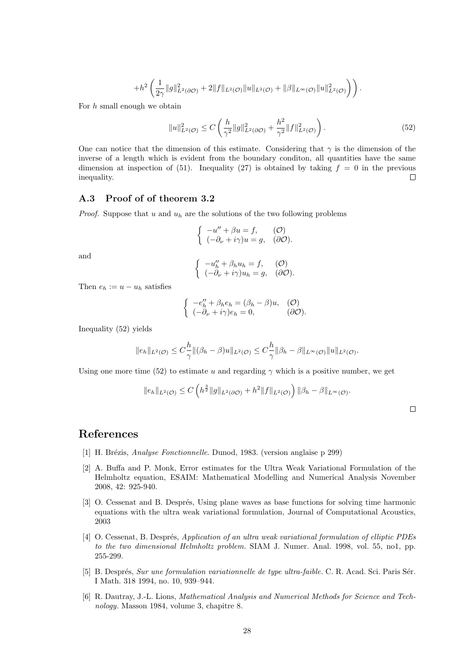$$
+ h^2\left(\frac{1}{2\gamma}\|g\|_{L^2(\partial \mathcal O)}^2 + 2\|f\|_{L^2(\mathcal O)}\|u\|_{L^2(\mathcal O)} + \|\beta\|_{L^\infty(\mathcal O)}\|u\|_{L^2(\mathcal O)}^2\right)\right).
$$

For h small enough we obtain

$$
||u||_{L^{2}(\mathcal{O})}^{2} \leq C\left(\frac{h}{\gamma^{2}}||g||_{L^{2}(\partial\mathcal{O})}^{2} + \frac{h^{2}}{\gamma^{2}}||f||_{L^{2}(\mathcal{O})}^{2}\right).
$$
\n(52)

One can notice that the dimension of this estimate. Considering that  $\gamma$  is the dimension of the inverse of a length which is evident from the boundary conditon, all quantities have the same dimension at inspection of (51). Inequality (27) is obtained by taking  $f = 0$  in the previous inequality.  $\Box$ 

#### A.3 Proof of of theorem 3.2

*Proof.* Suppose that u and  $u_h$  are the solutions of the two following problems

$$
\begin{cases}\n-u'' + \beta u = f, & \text{(O)} \\
(-\partial_{\nu} + i\gamma)u = g, & \text{(partial)}.\n\end{cases}
$$

and

$$
\begin{cases}\n-u''_h + \beta_h u_h = f, & (\mathcal{O}) \\
(-\partial_\nu + i\gamma)u_h = g, & (\partial\mathcal{O}).\n\end{cases}
$$

Then  $e_h := u - u_h$  satisfies

$$
\begin{cases}\n-e''_h + \beta_h e_h = (\beta_h - \beta)u, & \text{(O)} \\
(-\partial_\nu + i\gamma)e_h = 0, & \text{(partial)}.\n\end{cases}
$$

Inequality (52) yields

$$
||e_h||_{L^2(\mathcal{O})} \leq C_{\gamma}^{\frac{h}{\gamma}} ||(\beta_h - \beta)u||_{L^2(\mathcal{O})} \leq C_{\gamma}^{\frac{h}{\gamma}} ||\beta_h - \beta||_{L^{\infty}(\mathcal{O})} ||u||_{L^2(\mathcal{O})}.
$$

Using one more time (52) to estimate u and regarding  $\gamma$  which is a positive number, we get

$$
||e_h||_{L^2(\mathcal{O})} \leq C \left( h^{\frac{3}{2}} ||g||_{L^2(\partial \mathcal{O})} + h^2 ||f||_{L^2(\mathcal{O})} \right) ||\beta_h - \beta||_{L^{\infty}(\mathcal{O})}.
$$

# References

- [1] H. Brézis, *Analyse Fonctionnelle*. Dunod, 1983. (version anglaise p 299)
- [2] A. Buffa and P. Monk, Error estimates for the Ultra Weak Variational Formulation of the Helmholtz equation, ESAIM: Mathematical Modelling and Numerical Analysis November 2008, 42: 925-940.
- [3] O. Cessenat and B. Després, Using plane waves as base functions for solving time harmonic equations with the ultra weak variational formulation, Journal of Computational Acoustics, 2003
- [4] O. Cessenat, B. Després, Application of an ultra weak variational formulation of elliptic PDEs to the two dimensional Helmholtz problem. SIAM J. Numer. Anal. 1998, vol. 55, no1, pp. 255-299.
- [5] B. Després, Sur une formulation variationnelle de type ultra-faible. C. R. Acad. Sci. Paris Sér. I Math. 318 1994, no. 10, 939–944.
- [6] R. Dautray, J.-L. Lions, Mathematical Analysis and Numerical Methods for Science and Technology. Masson 1984, volume 3, chapitre 8.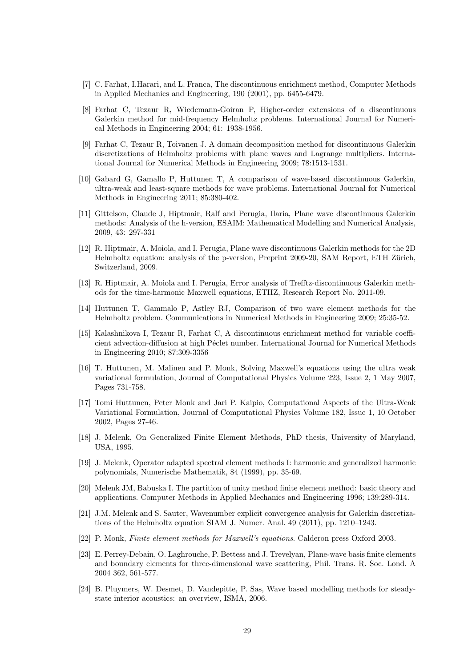- [7] C. Farhat, I.Harari, and L. Franca, The discontinuous enrichment method, Computer Methods in Applied Mechanics and Engineering, 190 (2001), pp. 6455-6479.
- [8] Farhat C, Tezaur R, Wiedemann-Goiran P, Higher-order extensions of a discontinuous Galerkin method for mid-frequency Helmholtz problems. International Journal for Numerical Methods in Engineering 2004; 61: 1938-1956.
- [9] Farhat C, Tezaur R, Toivanen J. A domain decomposition method for discontinuous Galerkin discretizations of Helmholtz problems with plane waves and Lagrange multipliers. International Journal for Numerical Methods in Engineering 2009; 78:1513-1531.
- [10] Gabard G, Gamallo P, Huttunen T, A comparison of wave-based discontinuous Galerkin, ultra-weak and least-square methods for wave problems. International Journal for Numerical Methods in Engineering 2011; 85:380-402.
- [11] Gittelson, Claude J, Hiptmair, Ralf and Perugia, Ilaria, Plane wave discontinuous Galerkin methods: Analysis of the h-version, ESAIM: Mathematical Modelling and Numerical Analysis, 2009, 43: 297-331
- [12] R. Hiptmair, A. Moiola, and I. Perugia, Plane wave discontinuous Galerkin methods for the 2D Helmholtz equation: analysis of the p-version, Preprint 2009-20, SAM Report, ETH Zürich, Switzerland, 2009.
- [13] R. Hiptmair, A. Moiola and I. Perugia, Error analysis of Trefftz-discontinuous Galerkin methods for the time-harmonic Maxwell equations, ETHZ, Research Report No. 2011-09.
- [14] Huttunen T, Gammalo P, Astley RJ, Comparison of two wave element methods for the Helmholtz problem. Communications in Numerical Methods in Engineering 2009; 25:35-52.
- [15] Kalashnikova I, Tezaur R, Farhat C, A discontinuous enrichment method for variable coefficient advection-diffusion at high Péclet number. International Journal for Numerical Methods in Engineering 2010; 87:309-3356
- [16] T. Huttunen, M. Malinen and P. Monk, Solving Maxwell's equations using the ultra weak variational formulation, Journal of Computational Physics Volume 223, Issue 2, 1 May 2007, Pages 731-758.
- [17] Tomi Huttunen, Peter Monk and Jari P. Kaipio, Computational Aspects of the Ultra-Weak Variational Formulation, Journal of Computational Physics Volume 182, Issue 1, 10 October 2002, Pages 27-46.
- [18] J. Melenk, On Generalized Finite Element Methods, PhD thesis, University of Maryland, USA, 1995.
- [19] J. Melenk, Operator adapted spectral element methods I: harmonic and generalized harmonic polynomials, Numerische Mathematik, 84 (1999), pp. 35-69.
- [20] Melenk JM, Babuska I. The partition of unity method finite element method: basic theory and applications. Computer Methods in Applied Mechanics and Engineering 1996; 139:289-314.
- [21] J.M. Melenk and S. Sauter, Wavenumber explicit convergence analysis for Galerkin discretizations of the Helmholtz equation SIAM J. Numer. Anal. 49 (2011), pp. 1210–1243.
- [22] P. Monk, Finite element methods for Maxwell's equations. Calderon press Oxford 2003.
- [23] E. Perrey-Debain, O. Laghrouche, P. Bettess and J. Trevelyan, Plane-wave basis finite elements and boundary elements for three-dimensional wave scattering, Phil. Trans. R. Soc. Lond. A 2004 362, 561-577.
- [24] B. Pluymers, W. Desmet, D. Vandepitte, P. Sas, Wave based modelling methods for steadystate interior acoustics: an overview, ISMA, 2006.